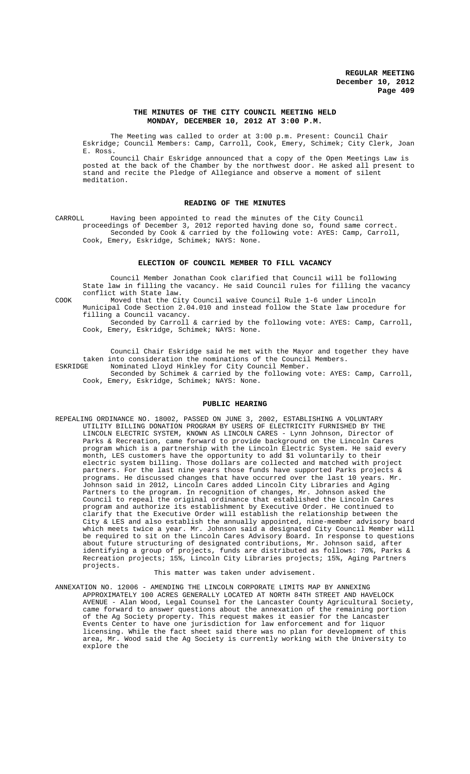# **THE MINUTES OF THE CITY COUNCIL MEETING HELD MONDAY, DECEMBER 10, 2012 AT 3:00 P.M.**

The Meeting was called to order at 3:00 p.m. Present: Council Chair Eskridge; Council Members: Camp, Carroll, Cook, Emery, Schimek; City Clerk, Joan E. Ross.

Council Chair Eskridge announced that a copy of the Open Meetings Law is posted at the back of the Chamber by the northwest door. He asked all present to stand and recite the Pledge of Allegiance and observe a moment of silent meditation.

#### **READING OF THE MINUTES**

CARROLL Having been appointed to read the minutes of the City Council proceedings of December 3, 2012 reported having done so, found same correct. Seconded by Cook & carried by the following vote: AYES: Camp, Carroll, Cook, Emery, Eskridge, Schimek; NAYS: None.

#### **ELECTION OF COUNCIL MEMBER TO FILL VACANCY**

Council Member Jonathan Cook clarified that Council will be following State law in filling the vacancy. He said Council rules for filling the vacancy conflict with State law.

COOK Moved that the City Council waive Council Rule 1-6 under Lincoln

Municipal Code Section 2.04.010 and instead follow the State law procedure for filling a Council vacancy.

Seconded by Carroll & carried by the following vote: AYES: Camp, Carroll, Cook, Emery, Eskridge, Schimek; NAYS: None.

Council Chair Eskridge said he met with the Mayor and together they have taken into consideration the nominations of the Council Members.<br>ESKRIDGE Mominated Llovd Hinkley for City Council Member. Nominated Lloyd Hinkley for City Council Member.

Seconded by Schimek & carried by the following vote: AYES: Camp, Carroll, Cook, Emery, Eskridge, Schimek; NAYS: None.

## **PUBLIC HEARING**

REPEALING ORDINANCE NO. 18002, PASSED ON JUNE 3, 2002, ESTABLISHING A VOLUNTARY UTILITY BILLING DONATION PROGRAM BY USERS OF ELECTRICITY FURNISHED BY THE LINCOLN ELECTRIC SYSTEM, KNOWN AS LINCOLN CARES - Lynn Johnson, Director of Parks & Recreation, came forward to provide background on the Lincoln Cares program which is a partnership with the Lincoln Electric System. He said every month, LES customers have the opportunity to add \$1 voluntarily to their electric system billing. Those dollars are collected and matched with project partners. For the last nine years those funds have supported Parks projects & programs. He discussed changes that have occurred over the last 10 years. Mr. Johnson said in 2012, Lincoln Cares added Lincoln City Libraries and Aging Partners to the program. In recognition of changes, Mr. Johnson asked the Council to repeal the original ordinance that established the Lincoln Cares program and authorize its establishment by Executive Order. He continued to clarify that the Executive Order will establish the relationship between the City & LES and also establish the annually appointed, nine-member advisory board which meets twice a year. Mr. Johnson said a designated City Council Member will be required to sit on the Lincoln Cares Advisory Board. In response to questions about future structuring of designated contributions, Mr. Johnson said, after identifying a group of projects, funds are distributed as follows: 70%, Parks & Recreation projects; 15%, Lincoln City Libraries projects; 15%, Aging Partners projects.

# This matter was taken under advisement.

ANNEXATION NO. 12006 - AMENDING THE LINCOLN CORPORATE LIMITS MAP BY ANNEXING APPROXIMATELY 100 ACRES GENERALLY LOCATED AT NORTH 84TH STREET AND HAVELOCK AVENUE - Alan Wood, Legal Counsel for the Lancaster County Agricultural Society, came forward to answer questions about the annexation of the remaining portion of the Ag Society property. This request makes it easier for the Lancaster Events Center to have one jurisdiction for law enforcement and for liquor licensing. While the fact sheet said there was no plan for development of this area, Mr. Wood said the Ag Society is currently working with the University to explore the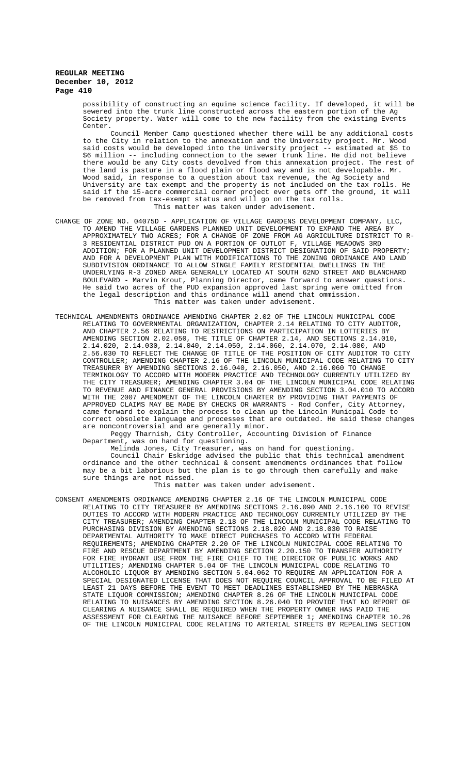> possibility of constructing an equine science facility. If developed, it will be sewered into the trunk line constructed across the eastern portion of the Ag Society property. Water will come to the new facility from the existing Events Center.

> Council Member Camp questioned whether there will be any additional costs to the City in relation to the annexation and the University project. Mr. Wood said costs would be developed into the University project -- estimated at \$5 to \$6 million -- including connection to the sewer trunk line. He did not believe there would be any City costs devolved from this annexation project. The rest of the land is pasture in a flood plain or flood way and is not developable. Mr. Wood said, in response to a question about tax revenue, the Ag Society and University are tax exempt and the property is not included on the tax rolls. He said if the 15-acre commercial corner project ever gets off the ground, it will be removed from tax-exempt status and will go on the tax rolls. This matter was taken under advisement.

- CHANGE OF ZONE NO. 04075D APPLICATION OF VILLAGE GARDENS DEVELOPMENT COMPANY, LLC, TO AMEND THE VILLAGE GARDENS PLANNED UNIT DEVELOPMENT TO EXPAND THE AREA BY APPROXIMATELY TWO ACRES; FOR A CHANGE OF ZONE FROM AG AGRICULTURE DISTRICT TO R-3 RESIDENTIAL DISTRICT PUD ON A PORTION OF OUTLOT F, VILLAGE MEADOWS 3RD ADDITION; FOR A PLANNED UNIT DEVELOPMENT DISTRICT DESIGNATION OF SAID PROPERTY; AND FOR A DEVELOPMENT PLAN WITH MODIFICATIONS TO THE ZONING ORDINANCE AND LAND SUBDIVISION ORDINANCE TO ALLOW SINGLE FAMILY RESIDENTIAL DWELLINGS IN THE UNDERLYING R-3 ZONED AREA GENERALLY LOCATED AT SOUTH 62ND STREET AND BLANCHARD BOULEVARD - Marvin Krout, Planning Director, came forward to answer questions. He said two acres of the PUD expansion approved last spring were omitted from the legal description and this ordinance will amend that ommission. This matter was taken under advisement.
- TECHNICAL AMENDMENTS ORDINANCE AMENDING CHAPTER 2.02 OF THE LINCOLN MUNICIPAL CODE RELATING TO GOVERNMENTAL ORGANIZATION, CHAPTER 2.14 RELATING TO CITY AUDITOR, AND CHAPTER 2.56 RELATING TO RESTRICTIONS ON PARTICIPATION IN LOTTERIES BY AMENDING SECTION 2.02.050, THE TITLE OF CHAPTER 2.14, AND SECTIONS 2.14.010, 2.14.020, 2.14.030, 2.14.040, 2.14.050, 2.14.060, 2.14.070, 2.14.080, AND 2.56.030 TO REFLECT THE CHANGE OF TITLE OF THE POSITION OF CITY AUDITOR TO CITY CONTROLLER; AMENDING CHAPTER 2.16 OF THE LINCOLN MUNICIPAL CODE RELATING TO CITY TREASURER BY AMENDING SECTIONS 2.16.040, 2.16.050, AND 2.16.060 TO CHANGE TERMINOLOGY TO ACCORD WITH MODERN PRACTICE AND TECHNOLOGY CURRENTLY UTILIZED BY THE CITY TREASURER; AMENDING CHAPTER 3.04 OF THE LINCOLN MUNICIPAL CODE RELATING TO REVENUE AND FINANCE GENERAL PROVISIONS BY AMENDING SECTION 3.04.010 TO ACCORD WITH THE 2007 AMENDMENT OF THE LINCOLN CHARTER BY PROVIDING THAT PAYMENTS OF APPROVED CLAIMS MAY BE MADE BY CHECKS OR WARRANTS - Rod Confer, City Attorney, came forward to explain the process to clean up the Lincoln Municpal Code to correct obsolete language and processes that are outdated. He said these changes are noncontroversial and are generally minor.

Peggy Tharnish, City Controller, Accounting Division of Finance Department, was on hand for questioning.

Melinda Jones, City Treasurer, was on hand for questioning. Council Chair Eskridge advised the public that this technical amendment ordinance and the other technical & consent amendments ordinances that follow may be a bit laborious but the plan is to go through them carefully and make sure things are not missed.

This matter was taken under advisement.

CONSENT AMENDMENTS ORDINANCE AMENDING CHAPTER 2.16 OF THE LINCOLN MUNICIPAL CODE RELATING TO CITY TREASURER BY AMENDING SECTIONS 2.16.090 AND 2.16.100 TO REVISE DUTIES TO ACCORD WITH MODERN PRACTICE AND TECHNOLOGY CURRENTLY UTILIZED BY THE CITY TREASURER; AMENDING CHAPTER 2.18 OF THE LINCOLN MUNICIPAL CODE RELATING TO PURCHASING DIVISION BY AMENDING SECTIONS 2.18.020 AND 2.18.030 TO RAISE DEPARTMENTAL AUTHORITY TO MAKE DIRECT PURCHASES TO ACCORD WITH FEDERAL REQUIREMENTS; AMENDING CHAPTER 2.20 OF THE LINCOLN MUNICIPAL CODE RELATING TO FIRE AND RESCUE DEPARTMENT BY AMENDING SECTION 2.20.150 TO TRANSFER AUTHORITY FOR FIRE HYDRANT USE FROM THE FIRE CHIEF TO THE DIRECTOR OF PUBLIC WORKS AND UTILITIES; AMENDING CHAPTER 5.04 OF THE LINCOLN MUNICIPAL CODE RELATING TO ALCOHOLIC LIQUOR BY AMENDING SECTION 5.04.062 TO REQUIRE AN APPLICATION FOR A SPECIAL DESIGNATED LICENSE THAT DOES NOT REQUIRE COUNCIL APPROVAL TO BE FILED AT LEAST 21 DAYS BEFORE THE EVENT TO MEET DEADLINES ESTABLISHED BY THE NEBRASKA STATE LIQUOR COMMISSION; AMENDING CHAPTER 8.26 OF THE LINCOLN MUNICIPAL CODE RELATING TO NUISANCES BY AMENDING SECTION 8.26.040 TO PROVIDE THAT NO REPORT OF CLEARING A NUISANCE SHALL BE REQUIRED WHEN THE PROPERTY OWNER HAS PAID THE ASSESSMENT FOR CLEARING THE NUISANCE BEFORE SEPTEMBER 1; AMENDING CHAPTER 10.26 OF THE LINCOLN MUNICIPAL CODE RELATING TO ARTERIAL STREETS BY REPEALING SECTION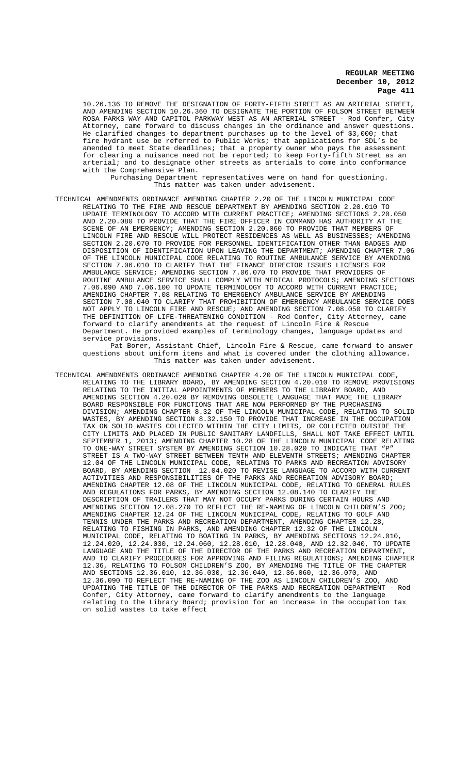10.26.136 TO REMOVE THE DESIGNATION OF FORTY-FIFTH STREET AS AN ARTERIAL STREET, AND AMENDING SECTION 10.26.360 TO DESIGNATE THE PORTION OF FOLSOM STREET BETWEEN<br>ROSA PARKS WAY AND CAPITOL PARKWAY WEST AS AN ARTERIAL STREET - Rod Confer, City ROSA PARKS WAY AND CAPITOL PARKWAY WEST AS AN ARTERIAL STREET - Rod Confer, City Attorney, came forward to discuss changes in the ordinance and answer questions.<br>He clarified changes to department purchases up to the level of \$3.000; that He clarified changes to department purchases up to the level of  $$3,000$ ; fire hydrant use be referred to Public Works; that applications for SDL's be amended to meet State deadlines; that a property owner who pays the assessment for clearing a nuisance need not be reported; to keep Forty-fifth Street as an arterial; and to designate other streets as arterials to come into conformance with the Comprehensive Plan.

Purchasing Department representatives were on hand for questioning. This matter was taken under advisement.

TECHNICAL AMENDMENTS ORDINANCE AMENDING CHAPTER 2.20 OF THE LINCOLN MUNICIPAL CODE RELATING TO THE FIRE AND RESCUE DEPARTMENT BY AMENDING SECTION 2.20.010 TO UPDATE TERMINOLOGY TO ACCORD WITH CURRENT PRACTICE; AMENDING SECTIONS 2.20.050 AND 2.20.080 TO PROVIDE THAT THE FIRE OFFICER IN COMMAND HAS AUTHORITY AT THE SCENE OF AN EMERGENCY; AMENDING SECTION 2.20.060 TO PROVIDE THAT MEMBERS OF LINCOLN FIRE AND RESCUE WILL PROTECT RESIDENCES AS WELL AS BUSINESSES; AMENDING SECTION 2.20.070 TO PROVIDE FOR PERSONNEL IDENTIFICATION OTHER THAN BADGES AND DISPOSITION OF IDENTIFICATION UPON LEAVING THE DEPARTMENT; AMENDING CHAPTER 7.06 OF THE LINCOLN MUNICIPAL CODE RELATING TO ROUTINE AMBULANCE SERVICE BY AMENDING SECTION 7.06.010 TO CLARIFY THAT THE FINANCE DIRECTOR ISSUES LICENSES FOR AMBULANCE SERVICE; AMENDING SECTION 7.06.070 TO PROVIDE THAT PROVIDERS OF ROUTINE AMBULANCE SERVICE SHALL COMPLY WITH MEDICAL PROTOCOLS; AMENDING SECTIONS 7.06.090 AND 7.06.100 TO UPDATE TERMINOLOGY TO ACCORD WITH CURRENT PRACTICE; AMENDING CHAPTER 7.08 RELATING TO EMERGENCY AMBULANCE SERVICE BY AMENDING SECTION 7.08.040 TO CLARIFY THAT PROHIBITION OF EMERGENCY AMBULANCE SERVICE DOES NOT APPLY TO LINCOLN FIRE AND RESCUE; AND AMENDING SECTION 7.08.050 TO CLARIFY THE DEFINITION OF LIFE-THREATENING CONDITION - Rod Confer, City Attorney, came forward to clarify amendments at the request of Lincoln Fire & Rescue Department. He provided examples of terminology changes, language updates and service provisions.

Pat Borer, Assistant Chief, Lincoln Fire & Rescue, came forward to answer questions about uniform items and what is covered under the clothing allowance. This matter was taken under advisement.

TECHNICAL AMENDMENTS ORDINANCE AMENDING CHAPTER 4.20 OF THE LINCOLN MUNICIPAL CODE, RELATING TO THE LIBRARY BOARD, BY AMENDING SECTION 4.20.010 TO REMOVE PROVISIONS RELATING TO THE INITIAL APPOINTMENTS OF MEMBERS TO THE LIBRARY BOARD, AND AMENDING SECTION 4.20.020 BY REMOVING OBSOLETE LANGUAGE THAT MADE THE LIBRARY BOARD RESPONSIBLE FOR FUNCTIONS THAT ARE NOW PERFORMED BY THE PURCHASING DIVISION; AMENDING CHAPTER 8.32 OF THE LINCOLN MUNICIPAL CODE, RELATING TO SOLID WASTES, BY AMENDING SECTION 8.32.150 TO PROVIDE THAT INCREASE IN THE OCCUPATION TAX ON SOLID WASTES COLLECTED WITHIN THE CITY LIMITS, OR COLLECTED OUTSIDE THE CITY LIMITS AND PLACED IN PUBLIC SANITARY LANDFILLS, SHALL NOT TAKE EFFECT UNTIL SEPTEMBER 1, 2013; AMENDING CHAPTER 10.28 OF THE LINCOLN MUNICIPAL CODE RELATING TO ONE-WAY STREET SYSTEM BY AMENDING SECTION 10.28.020 TO INDICATE THAT "P" STREET IS A TWO-WAY STREET BETWEEN TENTH AND ELEVENTH STREETS; AMENDING CHAPTER 12.04 OF THE LINCOLN MUNICIPAL CODE, RELATING TO PARKS AND RECREATION ADVISORY BOARD, BY AMENDING SECTION 12.04.020 TO REVISE LANGUAGE TO ACCORD WITH CURRENT ACTIVITIES AND RESPONSIBILITIES OF THE PARKS AND RECREATION ADVISORY BOARD; AMENDING CHAPTER 12.08 OF THE LINCOLN MUNICIPAL CODE, RELATING TO GENERAL RULES AND REGULATIONS FOR PARKS, BY AMENDING SECTION 12.08.140 TO CLARIFY THE DESCRIPTION OF TRAILERS THAT MAY NOT OCCUPY PARKS DURING CERTAIN HOURS AND AMENDING SECTION 12.08.270 TO REFLECT THE RE-NAMING OF LINCOLN CHILDREN'S ZOO; AMENDING CHAPTER 12.24 OF THE LINCOLN MUNICIPAL CODE, RELATING TO GOLF AND TENNIS UNDER THE PARKS AND RECREATION DEPARTMENT, AMENDING CHAPTER 12.28, RELATING TO FISHING IN PARKS, AND AMENDING CHAPTER 12.32 OF THE LINCOLN MUNICIPAL CODE, RELATING TO BOATING IN PARKS, BY AMENDING SECTIONS 12.24.010, 12.24.020, 12.24.030, 12.24.060, 12.28.010, 12.28.040, AND 12.32.040, TO UPDATE LANGUAGE AND THE TITLE OF THE DIRECTOR OF THE PARKS AND RECREATION DEPARTMENT, AND TO CLARIFY PROCEDURES FOR APPROVING AND FILING REGULATIONS; AMENDING CHAPTER 12.36, RELATING TO FOLSOM CHILDREN'S ZOO, BY AMENDING THE TITLE OF THE CHAPTER AND SECTIONS 12.36.010, 12.36.030, 12.36.040, 12.36.060, 12.36.070, AND 12.36.090 TO REFLECT THE RE-NAMING OF THE ZOO AS LINCOLN CHILDREN'S ZOO, AND UPDATING THE TITLE OF THE DIRECTOR OF THE PARKS AND RECREATION DEPARTMENT Confer, City Attorney, came forward to clarify amendments to the language relating to the Library Board; provision for an increase in the occupation tax on solid wastes to take effect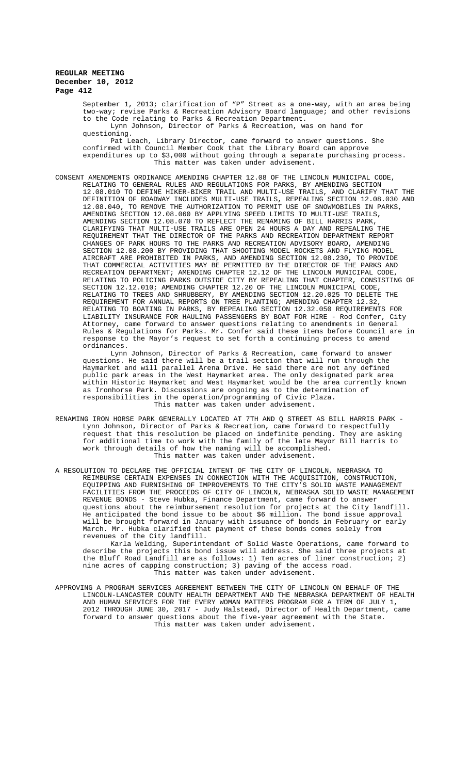September 1, 2013; clarification of "P" Street as a one-way, with an area being two-way; revise Parks & Recreation Advisory Board language; and other revisions to the Code relating to Parks & Recreation Department. Lynn Johnson, Director of Parks & Recreation, was on hand for

questioning. Pat Leach, Library Director, came forward to answer questions. She confirmed with Council Member Cook that the Library Board can approve expenditures up to \$3,000 without going through a separate purchasing process. This matter was taken under advisement.

CONSENT AMENDMENTS ORDINANCE AMENDING CHAPTER 12.08 OF THE LINCOLN MUNICIPAL CODE, RELATING TO GENERAL RULES AND REGULATIONS FOR PARKS, BY AMENDING SECTION 12.08.010 TO DEFINE HIKER-BIKER TRAIL AND MULTI-USE TRAILS, AND CLARIFY THAT THE DEFINITION OF ROADWAY INCLUDES MULTI-USE TRAILS, REPEALING SECTION 12.08.030 AND 12.08.040, TO REMOVE THE AUTHORIZATION TO PERMIT USE OF SNOWMOBILES IN PARKS, AMENDING SECTION 12.08.060 BY APPLYING SPEED LIMITS TO MULTI-USE TRAILS, AMENDING SECTION 12.08.070 TO REFLECT THE RENAMING OF BILL HARRIS PARK, CLARIFYING THAT MULTI-USE TRAILS ARE OPEN 24 HOURS A DAY AND REPEALING THE REQUIREMENT THAT THE DIRECTOR OF THE PARKS AND RECREATION DEPARTMENT REPORT CHANGES OF PARK HOURS TO THE PARKS AND RECREATION ADVISORY BOARD, AMENDING SECTION 12.08.200 BY PROVIDING THAT SHOOTING MODEL ROCKETS AND FLYING MODEL AIRCRAFT ARE PROHIBITED IN PARKS, AND AMENDING SECTION 12.08.230, TO PROVIDE THAT COMMERCIAL ACTIVITIES MAY BE PERMITTED BY THE DIRECTOR OF THE PARKS AND RECREATION DEPARTMENT; AMENDING CHAPTER 12.12 OF THE LINCOLN MUNICIPAL CODE, RELATING TO POLICING PARKS OUTSIDE CITY BY REPEALING THAT CHAPTER, CONSISTING OF SECTION 12.12.010; AMENDING CHAPTER 12.20 OF THE LINCOLN MUNICIPAL CODE, RELATING TO TREES AND SHRUBBERY, BY AMENDING SECTION 12.20.025 TO DELETE THE REQUIREMENT FOR ANNUAL REPORTS ON TREE PLANTING; AMENDING CHAPTER 12.32, RELATING TO BOATING IN PARKS, BY REPEALING SECTION 12.32.050 REQUIREMENTS FOR LIABILITY INSURANCE FOR HAULING PASSENGERS BY BOAT FOR HIRE - Rod Confer, City Attorney, came forward to answer questions relating to amendments in General Rules & Regulations for Parks. Mr. Confer said these items before Council are in response to the Mayor's request to set forth a continuing process to amend ordinances.

Lynn Johnson, Director of Parks & Recreation, came forward to answer questions. He said there will be a trail section that will run through the Haymarket and will parallel Arena Drive. He said there are not any defined public park areas in the West Haymarket area. The only designated park area within Historic Haymarket and West Haymarket would be the area currently known as Ironhorse Park. Discussions are ongoing as to the determination of responsibilities in the operation/programming of Civic Plaza. This matter was taken under advisement.

- RENAMING IRON HORSE PARK GENERALLY LOCATED AT 7TH AND Q STREET AS BILL HARRIS PARK Lynn Johnson, Director of Parks & Recreation, came forward to respectfully request that this resolution be placed on indefinite pending. They are asking for additional time to work with the family of the late Mayor Bill Harris to work through details of how the naming will be accomplished. This matter was taken under advisement.
- A RESOLUTION TO DECLARE THE OFFICIAL INTENT OF THE CITY OF LINCOLN, NEBRASKA TO REIMBURSE CERTAIN EXPENSES IN CONNECTION WITH THE ACQUISITION, CONSTRUCTION, EQUIPPING AND FURNISHING OF IMPROVEMENTS TO THE CITY'S SOLID WASTE MANAGEMENT FACILITIES FROM THE PROCEEDS OF CITY OF LINCOLN, NEBRASKA SOLID WASTE MANAGEMENT REVENUE BONDS - Steve Hubka, Finance Department, came forward to answer questions about the reimbursement resolution for projects at the City landfill. He anticipated the bond issue to be about \$6 million. The bond issue approval will be brought forward in January with issuance of bonds in February or early March. Mr. Hubka clarified that payment of these bonds comes solely from revenues of the City landfill.

Karla Welding, Superintendant of Solid Waste Operations, came forward to describe the projects this bond issue will address. She said three projects at the Bluff Road Landfill are as follows: 1) Ten acres of liner construction; 2) nine acres of capping construction; 3) paving of the access road. This matter was taken under advisement.

APPROVING A PROGRAM SERVICES AGREEMENT BETWEEN THE CITY OF LINCOLN ON BEHALF OF THE LINCOLN-LANCASTER COUNTY HEALTH DEPARTMENT AND THE NEBRASKA DEPARTMENT OF HEALTH AND HUMAN SERVICES FOR THE EVERY WOMAN MATTERS PROGRAM FOR A TERM OF JULY 1, 2012 THROUGH JUNE 30, 2017 - Judy Halstead, Director of Health Department, came forward to answer questions about the five-year agreement with the State. This matter was taken under advisement.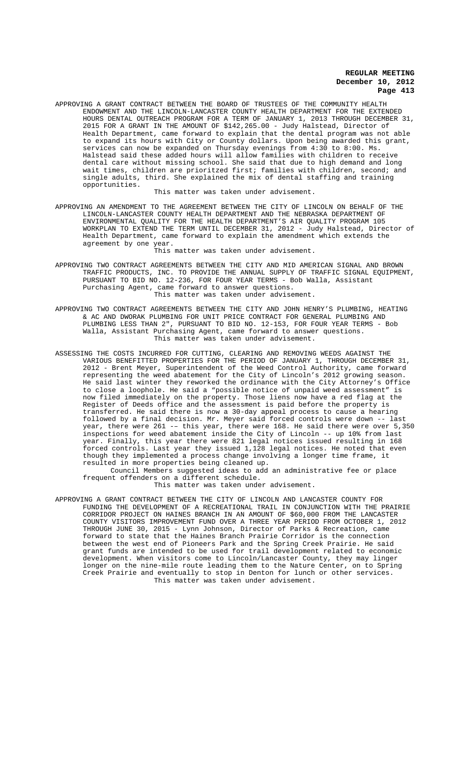APPROVING A GRANT CONTRACT BETWEEN THE BOARD OF TRUSTEES OF THE COMMUNITY HEALTH ENDOWMENT AND THE LINCOLN-LANCASTER COUNTY HEALTH DEPARTMENT FOR THE EXTENDED HOURS DENTAL OUTREACH PROGRAM FOR A TERM OF JANUARY 1, 2013 THROUGH DECEMBER 31, 2015 FOR A GRANT IN THE AMOUNT OF \$142,265.00 - Judy Halstead, Director of Health Department, came forward to explain that the dental program was not able to expand its hours with City or County dollars. Upon being awarded this grant, services can now be expanded on Thursday evenings from 4:30 to 8:00. Ms. Halstead said these added hours will allow families with children to receive dental care without missing school. She said that due to high demand and long wait times, children are prioritzed first; families with children, second; and single adults, third. She explained the mix of dental staffing and training opportunities.

This matter was taken under advisement.

APPROVING AN AMENDMENT TO THE AGREEMENT BETWEEN THE CITY OF LINCOLN ON BEHALF OF THE LINCOLN-LANCASTER COUNTY HEALTH DEPARTMENT AND THE NEBRASKA DEPARTMENT OF ENVIRONMENTAL QUALITY FOR THE HEALTH DEPARTMENT'S AIR QUALITY PROGRAM 105 WORKPLAN TO EXTEND THE TERM UNTIL DECEMBER 31, 2012 - Judy Halstead, Director of Health Department, came forward to explain the amendment which extends the agreement by one year.

This matter was taken under advisement.

- APPROVING TWO CONTRACT AGREEMENTS BETWEEN THE CITY AND MID AMERICAN SIGNAL AND BROWN TRAFFIC PRODUCTS, INC. TO PROVIDE THE ANNUAL SUPPLY OF TRAFFIC SIGNAL EQUIPMENT, PURSUANT TO BID NO. 12-236, FOR FOUR YEAR TERMS - Bob Walla, Assistant Purchasing Agent, came forward to answer questions. This matter was taken under advisement.
- APPROVING TWO CONTRACT AGREEMENTS BETWEEN THE CITY AND JOHN HENRY'S PLUMBING, HEATING & AC AND DWORAK PLUMBING FOR UNIT PRICE CONTRACT FOR GENERAL PLUMBING AND PLUMBING LESS THAN 2", PURSUANT TO BID NO. 12-153, FOR FOUR YEAR TERMS - Bob Walla, Assistant Purchasing Agent, came forward to answer questions. This matter was taken under advisement.
- ASSESSING THE COSTS INCURRED FOR CUTTING, CLEARING AND REMOVING WEEDS AGAINST THE VARIOUS BENEFITTED PROPERTIES FOR THE PERIOD OF JANUARY 1, THROUGH DECEMBER 31, 2012 - Brent Meyer, Superintendent of the Weed Control Authority, came forward representing the weed abatement for the City of Lincoln's 2012 growing season. He said last winter they reworked the ordinance with the City Attorney's Office to close a loophole. He said a "possible notice of unpaid weed assessment" is now filed immediately on the property. Those liens now have a red flag at the Register of Deeds office and the assessment is paid before the property is transferred. He said there is now a 30-day appeal process to cause a hearing followed by a final decision. Mr. Meyer said forced controls were down -- last year, there were 261 -– this year, there were 168. He said there were over 5,350 inspections for weed abatement inside the City of Lincoln -- up 10% from last year. Finally, this year there were 821 legal notices issued resulting in 168 forced controls. Last year they issued 1,128 legal notices. He noted that even though they implemented a process change involving a longer time frame, it resulted in more properties being cleaned up.

Council Members suggested ideas to add an administrative fee or place frequent offenders on a different schedule. This matter was taken under advisement.

APPROVING A GRANT CONTRACT BETWEEN THE CITY OF LINCOLN AND LANCASTER COUNTY FOR FUNDING THE DEVELOPMENT OF A RECREATIONAL TRAIL IN CONJUNCTION WITH THE PRAIRIE CORRIDOR PROJECT ON HAINES BRANCH IN AN AMOUNT OF \$60,000 FROM THE LANCASTER COUNTY VISITORS IMPROVEMENT FUND OVER A THREE YEAR PERIOD FROM OCTOBER 1, 2012 THROUGH JUNE 30, 2015 - Lynn Johnson, Director of Parks & Recreation, came forward to state that the Haines Branch Prairie Corridor is the connection between the west end of Pioneers Park and the Spring Creek Prairie. He said grant funds are intended to be used for trail development related to economic development. When visitors come to Lincoln/Lancaster County, they may linger longer on the nine-mile route leading them to the Nature Center, on to Spring Creek Prairie and eventually to stop in Denton for lunch or other services. This matter was taken under advisement.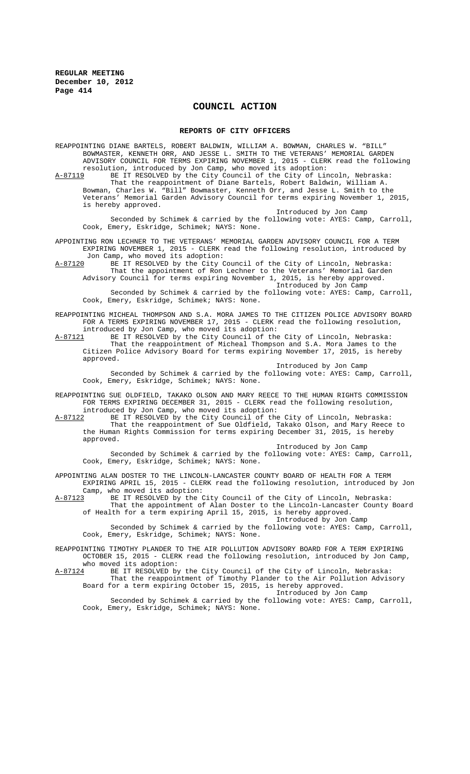# **COUNCIL ACTION**

#### **REPORTS OF CITY OFFICERS**

REAPPOINTING DIANE BARTELS, ROBERT BALDWIN, WILLIAM A. BOWMAN, CHARLES W. "BILL" BOWMASTER, KENNETH ORR, AND JESSE L. SMITH TO THE VETERANS' MEMORIAL GARDEN ADVISORY COUNCIL FOR TERMS EXPIRING NOVEMBER 1, 2015 - CLERK read the following resolution, introduced by Jon Camp, who moved its adoption: A-87119 BE IT RESOLVED by the City Council of the City of Lincoln, Nebraska: That the reappointment of Diane Bartels, Robert Baldwin, William A.

Bowman, Charles W. "Bill" Bowmaster, Kenneth Orr, and Jesse L. Smith to the Veterans' Memorial Garden Advisory Council for terms expiring November 1, 2015, is hereby approved.

Introduced by Jon Camp Seconded by Schimek & carried by the following vote: AYES: Camp, Carroll, Cook, Emery, Eskridge, Schimek; NAYS: None.

APPOINTING RON LECHNER TO THE VETERANS' MEMORIAL GARDEN ADVISORY COUNCIL FOR A TERM EXPIRING NOVEMBER 1, 2015 - CLERK read the following resolution, introduced by Jon Camp, who moved its adoption:

A-87120 BE IT RESOLVED by the City Council of the City of Lincoln, Nebraska: That the appointment of Ron Lechner to the Veterans' Memorial Garden Advisory Council for terms expiring November 1, 2015, is hereby approved.

Introduced by Jon Camp

Seconded by Schimek & carried by the following vote: AYES: Camp, Carroll, Cook, Emery, Eskridge, Schimek; NAYS: None.

- REAPPOINTING MICHEAL THOMPSON AND S.A. MORA JAMES TO THE CITIZEN POLICE ADVISORY BOARD FOR A TERMS EXPIRING NOVEMBER 17, 2015 - CLERK read the following resolution, introduced by Jon Camp, who moved its adoption:
- A-87121 BE IT RESOLVED by the City Council of the City of Lincoln, Nebraska: That the reappointment of Micheal Thompson and S.A. Mora James to the Citizen Police Advisory Board for terms expiring November 17, 2015, is hereby approved.

Introduced by Jon Camp Seconded by Schimek & carried by the following vote: AYES: Camp, Carroll, Cook, Emery, Eskridge, Schimek; NAYS: None.

REAPPOINTING SUE OLDFIELD, TAKAKO OLSON AND MARY REECE TO THE HUMAN RIGHTS COMMISSION FOR TERMS EXPIRING DECEMBER 31, 2015 - CLERK read the following resolution, introduced by Jon Camp, who moved its adoption:

A-87122 BE IT RESOLVED by the City Council of the City of Lincoln, Nebraska: That the reappointment of Sue Oldfield, Takako Olson, and Mary Reece to the Human Rights Commission for terms expiring December 31, 2015, is hereby approved.

Introduced by Jon Camp Seconded by Schimek & carried by the following vote: AYES: Camp, Carroll, Cook, Emery, Eskridge, Schimek; NAYS: None.

# APPOINTING ALAN DOSTER TO THE LINCOLN-LANCASTER COUNTY BOARD OF HEALTH FOR A TERM

EXPIRING APRIL 15, 2015 - CLERK read the following resolution, introduced by Jon Camp, who moved its adoption:<br>A-87123 BE IT RESOLVED by the O BE IT RESOLVED by the City Council of the City of Lincoln, Nebraska:

That the appointment of Alan Doster to the Lincoln-Lancaster County Board of Health for a term expiring April 15, 2015, is hereby approved.

Introduced by Jon Camp Seconded by Schimek & carried by the following vote: AYES: Camp, Carroll, Cook, Emery, Eskridge, Schimek; NAYS: None.

REAPPOINTING TIMOTHY PLANDER TO THE AIR POLLUTION ADVISORY BOARD FOR A TERM EXPIRING OCTOBER 15, 2015 - CLERK read the following resolution, introduced by Jon Camp,

who moved its adoption:<br>A-87124 BE IT RESOLVED by

A-87124 BE IT RESOLVED by the City Council of the City of Lincoln, Nebraska: That the reappointment of Timothy Plander to the Air Pollution Advisory Board for a term expiring October 15, 2015, is hereby approved.

Introduced by Jon Camp

Seconded by Schimek & carried by the following vote: AYES: Camp, Carroll, Cook, Emery, Eskridge, Schimek; NAYS: None.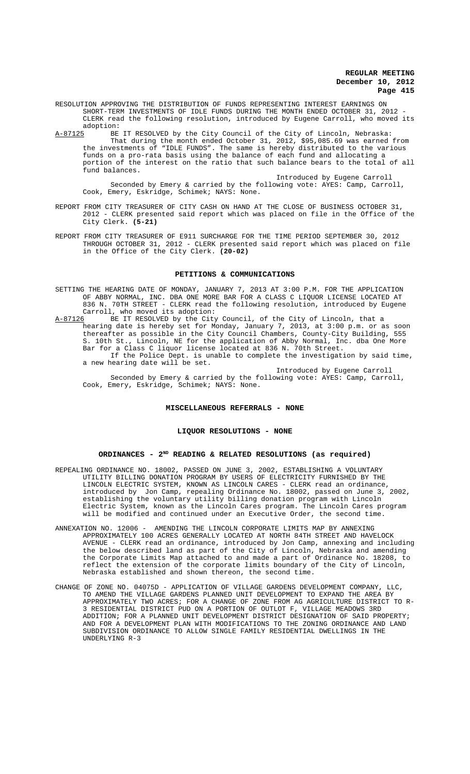- RESOLUTION APPROVING THE DISTRIBUTION OF FUNDS REPRESENTING INTEREST EARNINGS ON SHORT-TERM INVESTMENTS OF IDLE FUNDS DURING THE MONTH ENDED OCTOBER 31, 2012 CLERK read the following resolution, introduced by Eugene Carroll, who moved its adoption:<br> $A-87125$  BE
- A-87125 BE IT RESOLVED by the City Council of the City of Lincoln, Nebraska: That during the month ended October 31, 2012, \$95,085.69 was earned from the investments of "IDLE FUNDS". The same is hereby distributed to the various funds on a pro-rata basis using the balance of each fund and allocating a portion of the interest on the ratio that such balance bears to the total of all .<br>fund balances.

Introduced by Eugene Carroll Seconded by Emery & carried by the following vote: AYES: Camp, Carroll, Cook, Emery, Eskridge, Schimek; NAYS: None.

- REPORT FROM CITY TREASURER OF CITY CASH ON HAND AT THE CLOSE OF BUSINESS OCTOBER 31, 2012 - CLERK presented said report which was placed on file in the Office of the City Clerk. **(5-21)**
- REPORT FROM CITY TREASURER OF E911 SURCHARGE FOR THE TIME PERIOD SEPTEMBER 30, 2012 THROUGH OCTOBER 31, 2012 - CLERK presented said report which was placed on file in the Office of the City Clerk. **(20-02)**

#### **PETITIONS & COMMUNICATIONS**

- SETTING THE HEARING DATE OF MONDAY, JANUARY 7, 2013 AT 3:00 P.M. FOR THE APPLICATION OF ABBY NORMAL, INC. DBA ONE MORE BAR FOR A CLASS C LIQUOR LICENSE LOCATED AT 836 N. 70TH STREET - CLERK read the following resolution, introduced by Eugene Carroll, who moved its adoption:<br>A-87126 BE IT RESOLVED by the City
- BE IT RESOLVED by the City Council, of the City of Lincoln, that a hearing date is hereby set for Monday, January 7, 2013, at 3:00 p.m. or as soon thereafter as possible in the City Council Chambers, County-City Building, 555 S. 10th St., Lincoln, NE for the application of Abby Normal, Inc. dba One More Bar for a Class C liquor license located at 836 N. 70th Street. If the Police Dept. is unable to complete the investigation by said time, a new hearing date will be set.

Introduced by Eugene Carroll Seconded by Emery & carried by the following vote: AYES: Camp, Carroll, Cook, Emery, Eskridge, Schimek; NAYS: None.

#### **MISCELLANEOUS REFERRALS - NONE**

#### **LIQUOR RESOLUTIONS - NONE**

# **ORDINANCES - 2ND READING & RELATED RESOLUTIONS (as required)**

- REPEALING ORDINANCE NO. 18002, PASSED ON JUNE 3, 2002, ESTABLISHING A VOLUNTARY UTILITY BILLING DONATION PROGRAM BY USERS OF ELECTRICITY FURNISHED BY THE LINCOLN ELECTRIC SYSTEM, KNOWN AS LINCOLN CARES - CLERK read an ordinance, introduced by Jon Camp, repealing Ordinance No. 18002, passed on June 3, 2002, establishing the voluntary utility billing donation program with Lincoln Electric System, known as the Lincoln Cares program. The Lincoln Cares program will be modified and continued under an Executive Order, the second time.
- ANNEXATION NO. 12006 AMENDING THE LINCOLN CORPORATE LIMITS MAP BY ANNEXING APPROXIMATELY 100 ACRES GENERALLY LOCATED AT NORTH 84TH STREET AND HAVELOCK AVENUE - CLERK read an ordinance, introduced by Jon Camp, annexing and including the below described land as part of the City of Lincoln, Nebraska and amending the Corporate Limits Map attached to and made a part of Ordinance No. 18208, to reflect the extension of the corporate limits boundary of the City of Lincoln, Nebraska established and shown thereon, the second time.
- CHANGE OF ZONE NO. 04075D APPLICATION OF VILLAGE GARDENS DEVELOPMENT COMPANY, LLC, TO AMEND THE VILLAGE GARDENS PLANNED UNIT DEVELOPMENT TO EXPAND THE AREA BY APPROXIMATELY TWO ACRES; FOR A CHANGE OF ZONE FROM AG AGRICULTURE DISTRICT TO R-3 RESIDENTIAL DISTRICT PUD ON A PORTION OF OUTLOT F, VILLAGE MEADOWS 3RD ADDITION; FOR A PLANNED UNIT DEVELOPMENT DISTRICT DESIGNATION OF SAID PROPERTY; AND FOR A DEVELOPMENT PLAN WITH MODIFICATIONS TO THE ZONING ORDINANCE AND LAND SUBDIVISION ORDINANCE TO ALLOW SINGLE FAMILY RESIDENTIAL DWELLINGS IN THE UNDERLYING R-3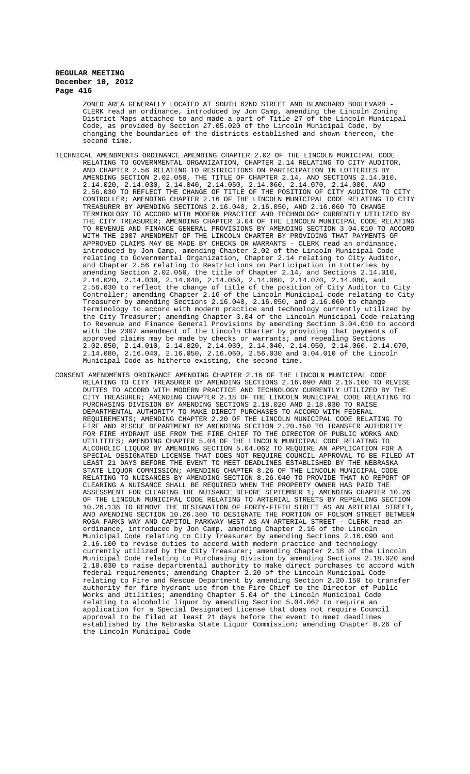ZONED AREA GENERALLY LOCATED AT SOUTH 62ND STREET AND BLANCHARD BOULEVARD - CLERK read an ordinance, introduced by Jon Camp, amending the Lincoln Zoning District Maps attached to and made a part of Title 27 of the Lincoln Municipal Code, as provided by Section 27.05.020 of the Lincoln Municipal Code, by<br>changing the boundaries of the districts established and shown thereon, the the boundaries of the districts established and shown thereon, second time.

- TECHNICAL AMENDMENTS ORDINANCE AMENDING CHAPTER 2.02 OF THE LINCOLN MUNICIPAL CODE RELATING TO GOVERNMENTAL ORGANIZATION, CHAPTER 2.14 RELATING TO CITY AUDITOR, AND CHAPTER 2.56 RELATING TO RESTRICTIONS ON PARTICIPATION IN LOTTERIES AMENDING SECTION 2.02.050, THE TITLE OF CHAPTER 2.14, AND SECTIONS 2.14.010, 2.14.020, 2.14.030, 2.14.040, 2.14.050, 2.14.060, 2.14.070, 2.14.080, AND 2.56.030 TO REFLECT THE CHANGE OF TITLE OF THE POSITION OF CITY AUDITOR TO CITY CONTROLLER; AMENDING CHAPTER 2.16 OF THE LINCOLN MUNICIPAL CODE RELATING TO CITY TREASURER BY AMENDING SECTIONS 2.16.040, 2.16.050, AND 2.16.060 TO CHANGE TERMINOLOGY TO ACCORD WITH MODERN PRACTICE AND TECHNOLOGY CURRENTLY UTILIZED BY THE CITY TREASURER; AMENDING CHAPTER 3.04 OF THE LINCOLN MUNICIPAL CODE RELATING TO REVENUE AND FINANCE GENERAL PROVISIONS BY AMENDING SECTION 3.04.010 TO ACCORD WITH THE 2007 AMENDMENT OF THE LINCOLN CHARTER BY PROVIDING THAT PAYMENTS OF APPROVED CLAIMS MAY BE MADE BY CHECKS OR WARRANTS - CLERK read an ordinance, introduced by Jon Camp, amending Chapter 2.02 of the Lincoln Municipal Code relating to Governmental Organization, Chapter 2.14 relating to City Auditor, and Chapter 2.56 relating to Restrictions on Participation in Lotteries by amending Section 2.02.050, the title of Chapter 2.14, and Sections 2.14.010, 2.14.020, 2.14.030, 2.14.040, 2.14.050, 2.14.060, 2.14.070, 2.14.080, and 2.56.030 to reflect the change of title of the position of City Auditor to City Controller; amending Chapter 2.16 of the Lincoln Municipal code relating to City Treasurer by amending Sections 2.16.040, 2.16.050, and 2.16.060 to change terminology to accord with modern practice and technology currently utilized by the City Treasurer; amending Chapter 3.04 of the Lincoln Municipal Code relating to Revenue and Finance General Provisions by amending Section 3.04.010 to accord with the 2007 amendment of the Lincoln Charter by providing that payments of approved claims may be made by checks or warrants; and repealing Sections  $2.02.050$ ,  $2.14.010$ ,  $2.14.020$ ,  $2.14.030$ ,  $2.14.040$ ,  $2.14.050$ ,  $2.14.060$ ,  $2.14.070$ . 2.02.050, 2.14.010, 2.14.020, 2.14.030, 2.14.040, 2.14.050, 2.14.060, 2.14.070, 2.14.080, 2.16.040, 2.16.050, 2.16.060, 2.56.030 and 3.04.010 of the Lincoln Municipal Code as hitherto existing, the second time.
- CONSENT AMENDMENTS ORDINANCE AMENDING CHAPTER 2.16 OF THE LINCOLN MUNICIPAL CODE RELATING TO CITY TREASURER BY AMENDING SECTIONS 2.16.090 AND 2.16.100 TO REVISE DUTIES TO ACCORD WITH MODERN PRACTICE AND TECHNOLOGY CURRENTLY UTILIZED BY THE CITY TREASURER; AMENDING CHAPTER 2.18 OF THE LINCOLN MUNICIPAL CODE RELATING TO PURCHASING DIVISION BY AMENDING SECTIONS 2.18.020 AND 2.18.030 TO RAISE DEPARTMENTAL AUTHORITY TO MAKE DIRECT PURCHASES TO ACCORD WITH FEDERAL REQUIREMENTS; AMENDING CHAPTER 2.20 OF THE LINCOLN MUNICIPAL CODE RELATING TO FIRE AND RESCUE DEPARTMENT BY AMENDING SECTION 2.20.150 TO TRANSFER AUTHORITY FOR FIRE HYDRANT USE FROM THE FIRE CHIEF TO THE DIRECTOR OF PUBLIC WORKS AND UTILITIES; AMENDING CHAPTER 5.04 OF THE LINCOLN MUNICIPAL CODE RELATING TO ALCOHOLIC LIQUOR BY AMENDING SECTION 5.04.062 TO REQUIRE AN APPLICATION FOR A SPECIAL DESIGNATED LICENSE THAT DOES NOT REQUIRE COUNCIL APPROVAL TO BE FILED AT LEAST 21 DAYS BEFORE THE EVENT TO MEET DEADLINES ESTABLISHED BY THE NEBRASKA STATE LIQUOR COMMISSION; AMENDING CHAPTER 8.26 OF THE LINCOLN MUNICIPAL CODE RELATING TO NUISANCES BY AMENDING SECTION 8.26.040 TO PROVIDE THAT NO REPORT OF CLEARING A NUISANCE SHALL BE REQUIRED WHEN THE PROPERTY OWNER HAS PAID THE ASSESSMENT FOR CLEARING THE NUISANCE BEFORE SEPTEMBER 1; AMENDING CHAPTER 10.26 OF THE LINCOLN MUNICIPAL CODE RELATING TO ARTERIAL STREETS BY REPEALING SECTION 10.26.136 TO REMOVE THE DESIGNATION OF FORTY-FIFTH STREET AS AN ARTERIAL STREET, AND AMENDING SECTION 10.26.360 TO DESIGNATE THE PORTION OF FOLSOM STREET BETWEEN ROSA PARKS WAY AND CAPITOL PARKWAY WEST AS AN ARTERIAL STREET - CLERK read an ordinance, introduced by Jon Camp, amending Chapter 2.16 of the Lincoln Municipal Code relating to City Treasurer by amending Sections 2.16.090 and 2.16.100 to revise duties to accord with modern practice and technology currently utilized by the City Treasurer; amending Chapter 2.18 of the Lincoln Municipal Code relating to Purchasing Division by amending Sections 2.18.020 and 2.18.030 to raise departmental authority to make direct purchases to accord with federal requirements; amending Chapter 2.20 of the Lincoln Municipal Code relating to Fire and Rescue Department by amending Section 2.20.150 to transfer authority for fire hydrant use from the Fire Chief to the Director of Public Works and Utilities; amending Chapter 5.04 of the Lincoln Municipal Code relating to alcoholic liquor by amending Section 5.04.062 to require an application for a Special Designated License that does not require Council approval to be filed at least 21 days before the event to meet deadlines established by the Nebraska State Liquor Commission; amending Chapter 8.26 of the Lincoln Municipal Code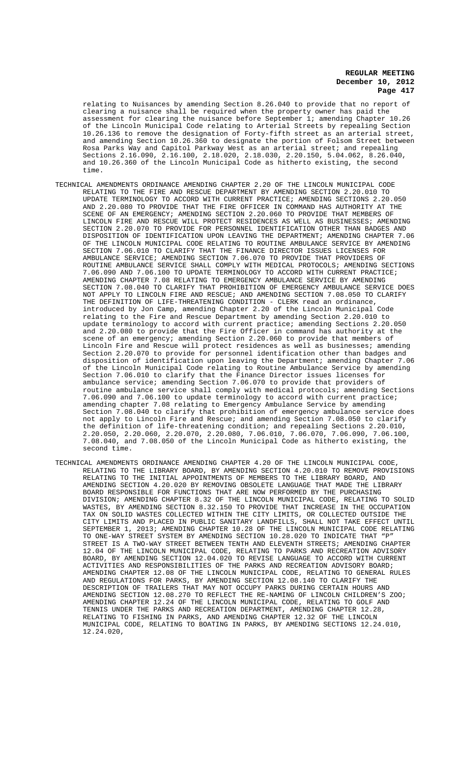relating to Nuisances by amending Section 8.26.040 to provide that no report of clearing a nuisance shall be required when the property owner has paid the assessment for clearing the nuisance before September 1; amending Chapter 10.26 of the Lincoln Municipal Code relating to Arterial Streets by repealing Section 10.26.136 to remove the designation of Forty-fifth street as an arterial street, and amending Section 10.26.360 to designate the portion of Folsom Street between Rosa Parks Way and Capitol Parkway West as an arterial street; and repealing Sections 2.16.090, 2.16.100, 2.18.020, 2.18.030, 2.20.150, 5.04.062, 8.26.040, and 10.26.360 of the Lincoln Municipal Code as hitherto existing, the second time.

- TECHNICAL AMENDMENTS ORDINANCE AMENDING CHAPTER 2.20 OF THE LINCOLN MUNICIPAL CODE RELATING TO THE FIRE AND RESCUE DEPARTMENT BY AMENDING SECTION 2.20.010 TO UPDATE TERMINOLOGY TO ACCORD WITH CURRENT PRACTICE; AMENDING SECTIONS 2.20.050 AND 2.20.080 TO PROVIDE THAT THE FIRE OFFICER IN COMMAND HAS AUTHORITY AT THE SCENE OF AN EMERGENCY; AMENDING SECTION 2.20.060 TO PROVIDE THAT MEMBERS OF LINCOLN FIRE AND RESCUE WILL PROTECT RESIDENCES AS WELL AS BUSINESSES; AMENDING SECTION 2.20.070 TO PROVIDE FOR PERSONNEL IDENTIFICATION OTHER THAN BADGES AND DISPOSITION OF IDENTIFICATION UPON LEAVING THE DEPARTMENT; AMENDING CHAPTER 7.06 OF THE LINCOLN MUNICIPAL CODE RELATING TO ROUTINE AMBULANCE SERVICE BY AMENDING SECTION 7.06.010 TO CLARIFY THAT THE FINANCE DIRECTOR ISSUES LICENSES FOR AMBULANCE SERVICE; AMENDING SECTION 7.06.070 TO PROVIDE THAT PROVIDERS OF ROUTINE AMBULANCE SERVICE SHALL COMPLY WITH MEDICAL PROTOCOLS; AMENDING SECTIONS 7.06.090 AND 7.06.100 TO UPDATE TERMINOLOGY TO ACCORD WITH CURRENT PRACTICE; AMENDING CHAPTER 7.08 RELATING TO EMERGENCY AMBULANCE SERVICE BY AMENDING SECTION 7.08.040 TO CLARIFY THAT PROHIBITION OF EMERGENCY AMBULANCE SERVICE DOES NOT APPLY TO LINCOLN FIRE AND RESCUE; AND AMENDING SECTION 7.08.050 TO CLARIFY THE DEFINITION OF LIFE-THREATENING CONDITION - CLERK read an ordinance, introduced by Jon Camp, amending Chapter 2.20 of the Lincoln Municipal Code relating to the Fire and Rescue Department by amending Section 2.20.010 to update terminology to accord with current practice; amending Sections 2.20.050 and 2.20.080 to provide that the Fire Officer in command has authority at the scene of an emergency; amending Section 2.20.060 to provide that members of Lincoln Fire and Rescue will protect residences as well as businesses; amending Section 2.20.070 to provide for personnel identification other than badges and disposition of identification upon leaving the Department; amending Chapter 7.06 of the Lincoln Municipal Code relating to Routine Ambulance Service by amending Section 7.06.010 to clarify that the Finance Director issues licenses for ambulance service; amending Section 7.06.070 to provide that providers of routine ambulance service shall comply with medical protocols; amending Sections 7.06.090 and 7.06.100 to update terminology to accord with current practice; amending chapter 7.08 relating to Emergency Ambulance Service by amending Section 7.08.040 to clarify that prohibition of emergency ambulance service does not apply to Lincoln Fire and Rescue; and amending Section 7.08.050 to clarify the definition of life-threatening condition; and repealing Sections 2.20.010, 2.20.050, 2.20.060, 2.20.070, 2.20.080, 7.06.010, 7.06.070, 7.06.090, 7.06.100, 7.08.040, and 7.08.050 of the Lincoln Municipal Code as hitherto existing, the second time.
- TECHNICAL AMENDMENTS ORDINANCE AMENDING CHAPTER 4.20 OF THE LINCOLN MUNICIPAL CODE, RELATING TO THE LIBRARY BOARD, BY AMENDING SECTION 4.20.010 TO REMOVE PROVISIONS RELATING TO THE INITIAL APPOINTMENTS OF MEMBERS TO THE LIBRARY BOARD, AND AMENDING SECTION 4.20.020 BY REMOVING OBSOLETE LANGUAGE THAT MADE THE LIBRARY BOARD RESPONSIBLE FOR FUNCTIONS THAT ARE NOW PERFORMED BY THE PURCHASING DIVISION; AMENDING CHAPTER 8.32 OF THE LINCOLN MUNICIPAL CODE, RELATING TO SOLID WASTES, BY AMENDING SECTION 8.32.150 TO PROVIDE THAT INCREASE IN THE OCCUPATION TAX ON SOLID WASTES COLLECTED WITHIN THE CITY LIMITS, OR COLLECTED OUTSIDE THE CITY LIMITS AND PLACED IN PUBLIC SANITARY LANDFILLS, SHALL NOT TAKE EFFECT UNTIL SEPTEMBER 1, 2013; AMENDING CHAPTER 10.28 OF THE LINCOLN MUNICIPAL CODE RELATING TO ONE-WAY STREET SYSTEM BY AMENDING SECTION 10.28.020 TO INDICATE THAT "P" STREET IS A TWO-WAY STREET BETWEEN TENTH AND ELEVENTH STREETS; AMENDING CHAPTER 12.04 OF THE LINCOLN MUNICIPAL CODE, RELATING TO PARKS AND RECREATION ADVISORY BOARD, BY AMENDING SECTION 12.04.020 TO REVISE LANGUAGE TO ACCORD WITH CURRENT ACTIVITIES AND RESPONSIBILITIES OF THE PARKS AND RECREATION ADVISORY BOARD; AMENDING CHAPTER 12.08 OF THE LINCOLN MUNICIPAL CODE, RELATING TO GENERAL RULES AND REGULATIONS FOR PARKS, BY AMENDING SECTION 12.08.140 TO CLARIFY THE DESCRIPTION OF TRAILERS THAT MAY NOT OCCUPY PARKS DURING CERTAIN HOURS AND AMENDING SECTION 12.08.270 TO REFLECT THE RE-NAMING OF LINCOLN CHILDREN'S ZOO; AMENDING CHAPTER 12.24 OF THE LINCOLN MUNICIPAL CODE, RELATING TO GOLF AND TENNIS UNDER THE PARKS AND RECREATION DEPARTMENT, AMENDING CHAPTER 12.28, RELATING TO FISHING IN PARKS, AND AMENDING CHAPTER 12.32 OF THE LINCOLN MUNICIPAL CODE, RELATING TO BOATING IN PARKS, BY AMENDING SECTIONS 12.24.010, 12.24.020,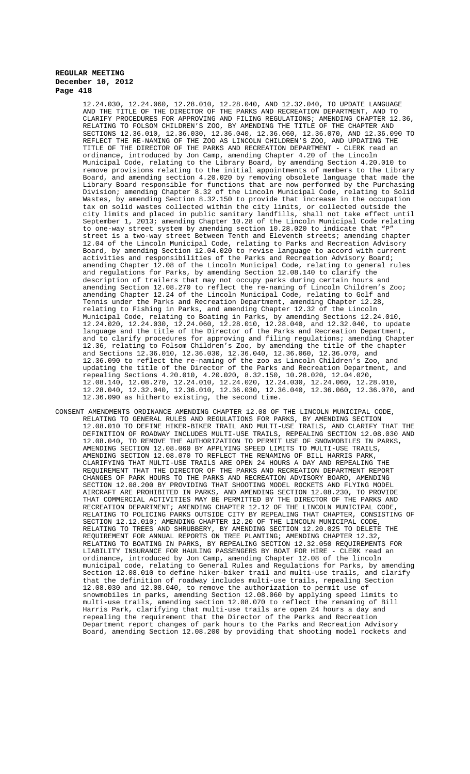12.24.030, 12.24.060, 12.28.010, 12.28.040, AND 12.32.040, TO UPDATE LANGUAGE AND THE TITLE OF THE DIRECTOR OF THE PARKS AND RECREATION DEPARTMENT, AND TO CLARIFY PROCEDURES FOR APPROVING AND FILING REGULATIONS; AMENDING CHAPTER 12.36, RELATING TO FOLSOM CHILDREN'S ZOO, BY AMENDING THE TITLE OF THE CHAPTER AND SECTIONS 12.36.010, 12.36.030, 12.36.040, 12.36.060, 12.36.070, AND 12.36.090 TO REFLECT THE RE-NAMING OF THE ZOO AS LINCOLN CHILDREN'S ZOO, AND UPDATING THE TITLE OF THE DIRECTOR OF THE PARKS AND RECREATION DEPARTMENT - CLERK read an ordinance, introduced by Jon Camp, amending Chapter 4.20 of the Lincoln Municipal Code, relating to the Library Board, by amending Section 4.20.010 to remove provisions relating to the initial appointments of members to the Library Board, and amending section 4.20.020 by removing obsolete language that made the Library Board responsible for functions that are now performed by the Purchasing Division; amending Chapter 8.32 of the Lincoln Municipal Code, relating to Solid Wastes, by amending Section 8.32.150 to provide that increase in the occupation tax on solid wastes collected within the city limits, or collected outside the city limits and placed in public sanitary landfills, shall not take effect until September 1, 2013; amending Chapter 10.28 of the Lincoln Municipal Code relating to one-way street system by amending section 10.28.020 to indicate that "P" street is a two-way street Between Tenth and Eleventh streets; amending chapter 12.04 of the Lincoln Municipal Code, relating to Parks and Recreation Advisory Board, by amending Section 12.04.020 to revise language to accord with current activities and responsibilities of the Parks and Recreation Advisory Board; amending Chapter 12.08 of the Lincoln Municipal Code, relating to general rules and regulations for Parks, by amending Section 12.08.140 to clarify the description of trailers that may not occupy parks during certain hours and amending Section 12.08.270 to reflect the re-naming of Lincoln Children's Zoo; amending Chapter 12.24 of the Lincoln Municipal Code, relating to Golf and Tennis under the Parks and Recreation Department, amending Chapter 12.28, relating to Fishing in Parks, and amending Chapter 12.32 of the Lincoln Municipal Code, relating to Boating in Parks, by amending Sections 12.24.010, 12.24.020, 12.24.030, 12.24.060, 12.28.010, 12.28.040, and 12.32.040, to update language and the title of the Director of the Parks and Recreation Department, and to clarify procedures for approving and filing regulations; amending Chapter 12.36, relating to Folsom Children's Zoo, by amending the title of the chapter and Sections 12.36.010, 12.36.030, 12.36.040, 12.36.060, 12.36.070, and 12.36.090 to reflect the re-naming of the zoo as Lincoln Children's Zoo, updating the title of the Director of the Parks and Recreation Department, and repealing Sections 4.20.010, 4.20.020, 8.32.150, 10.28.020, 12.04.020, 12.08.140, 12.08.270, 12.24.010, 12.24.020, 12.24.030, 12.24.060, 12.28.010, 12.28.040, 12.32.040, 12.36.010, 12.36.030, 12.36.040, 12.36.060, 12.36.070, and 12.36.090 as hitherto existing, the second time.

CONSENT AMENDMENTS ORDINANCE AMENDING CHAPTER 12.08 OF THE LINCOLN MUNICIPAL CODE, RELATING TO GENERAL RULES AND REGULATIONS FOR PARKS, BY AMENDING SECTION 12.08.010 TO DEFINE HIKER-BIKER TRAIL AND MULTI-USE TRAILS, AND CLARIFY THAT THE DEFINITION OF ROADWAY INCLUDES MULTI-USE TRAILS, REPEALING SECTION 12.08.030 AND 12.08.040, TO REMOVE THE AUTHORIZATION TO PERMIT USE OF SNOWMOBILES IN PARKS, AMENDING SECTION 12.08.060 BY APPLYING SPEED LIMITS TO MULTI-USE TRAILS, AMENDING SECTION 12.08.070 TO REFLECT THE RENAMING OF BILL HARRIS PARK, CLARIFYING THAT MULTI-USE TRAILS ARE OPEN 24 HOURS A DAY AND REPEALING THE REQUIREMENT THAT THE DIRECTOR OF THE PARKS AND RECREATION DEPARTMENT REPORT CHANGES OF PARK HOURS TO THE PARKS AND RECREATION ADVISORY BOARD, AMENDING<br>SECTION 12.08.200 BY PROVIDING THAT SHOOTING MODEL ROCKETS AND FLYING MODEL 12.08.200 BY PROVIDING THAT SHOOTING MODEL ROCKETS AND FLYING MODEL AIRCRAFT ARE PROHIBITED IN PARKS, AND AMENDING SECTION 12.08.230, TO PROVIDE THAT COMMERCIAL ACTIVITIES MAY BE PERMITTED BY THE DIRECTOR OF THE PARKS AND RECREATION DEPARTMENT; AMENDING CHAPTER 12.12 OF THE LINCOLN MUNICIPAL CODE, RELATING TO POLICING PARKS OUTSIDE CITY BY REPEALING THAT CHAPTER, CONSISTING OF SECTION 12.12.010; AMENDING CHAPTER 12.20 OF THE LINCOLN MUNICIPAL CODE, RELATING TO TREES AND SHRUBBERY, BY AMENDING SECTION 12.20.025 TO DELETE THE REQUIREMENT FOR ANNUAL REPORTS ON TREE PLANTING; AMENDING CHAPTER 12.32, RELATING TO BOATING IN PARKS, BY REPEALING SECTION 12.32.050 REQUIREMENTS FOR LIABILITY INSURANCE FOR HAULING PASSENGERS BY BOAT FOR HIRE - CLERK read an ordinance, introduced by Jon Camp, amending Chapter 12.08 of the lincoln municipal code, relating to General Rules and Regulations for Parks, by amending Section 12.08.010 to define hiker-biker trail and multi-use trails, and clarify that the definition of roadway includes multi-use trails, repealing Section 12.08.030 and 12.08.040, to remove the authorization to permit use of  $12.08.030$  and  $12.08.040$ , to remove the authorization to permit use snowmobiles in parks, amending Section 12.08.060 by applying speed limits to multi-use trails, amending section 12.08.070 to reflect the renaming of Bill Harris Park, clarifying that multi-use trails are open 24 hours a day and repealing the requirement that the Director of the Parks and Recreation Department report changes of park hours to the Parks and Recreation Advisory Board, amending Section 12.08.200 by providing that shooting model rockets and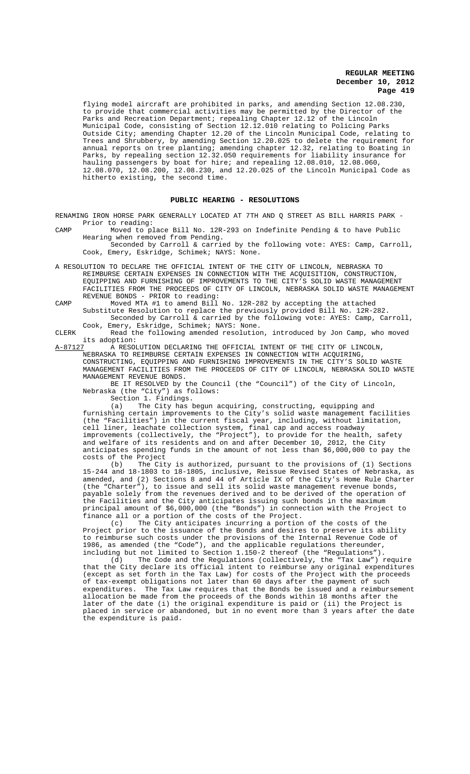flying model aircraft are prohibited in parks, and amending Section 12.08.230, to provide that commercial activities may be permitted by the Director of the Parks and Recreation Department; repealing Chapter 12.12 of the Lincoln Municipal Code, consisting of Section 12.12.010 relating to Policing Parks Outside City; amending Chapter 12.20 of the Lincoln Municipal Code, relating to Trees and Shrubbery, by amending Section 12.20.025 to delete the requirement for annual reports on tree planting; amending chapter 12.32, relating to Boating in Parks, by repealing section 12.32.050 requirements for liability insurance for hauling passengers by boat for hire; and repealing 12.08.010, 12.08.060, 12.08.070, 12.08.200, 12.08.230, and 12.20.025 of the Lincoln Municipal Code as hitherto existing, the second time.

#### **PUBLIC HEARING - RESOLUTIONS**

RENAMING IRON HORSE PARK GENERALLY LOCATED AT 7TH AND Q STREET AS BILL HARRIS PARK - Prior to reading:<br>Moved to place Bill No.

CAMP Moved to place Bill No. 12R-293 on Indefinite Pending & to have Public Hearing when removed from Pending.

Seconded by Carroll & carried by the following vote: AYES: Camp, Carroll, Cook, Emery, Eskridge, Schimek; NAYS: None.

- A RESOLUTION TO DECLARE THE OFFICIAL INTENT OF THE CITY OF LINCOLN, NEBRASKA TO REIMBURSE CERTAIN EXPENSES IN CONNECTION WITH THE ACQUISITION, CONSTRUCTION, EQUIPPING AND FURNISHING OF IMPROVEMENTS TO THE CITY'S SOLID WASTE MANAGEMENT FACILITIES FROM THE PROCEEDS OF CITY OF LINCOLN, NEBRASKA SOLID WASTE MANAGEMENT REVENUE BONDS - PRIOR to reading:
- CAMP Moved MTA #1 to amend Bill No. 12R-282 by accepting the attached Substitute Resolution to replace the previously provided Bill No. 12R-282. Seconded by Carroll & carried by the following vote: AYES: Camp, Carroll, Cook, Emery, Eskridge, Schimek; NAYS: None.

CLERK Read the following amended resolution, introduced by Jon Camp, who moved its adoption:<br>A-87127 A RESOI

A RESOLUTION DECLARING THE OFFICIAL INTENT OF THE CITY OF LINCOLN, NEBRASKA TO REIMBURSE CERTAIN EXPENSES IN CONNECTION WITH ACQUIRING, CONSTRUCTING, EQUIPPING AND FURNISHING IMPROVEMENTS IN THE CITY'S SOLID WASTE MANAGEMENT FACILITIES FROM THE PROCEEDS OF CITY OF LINCOLN, NEBRASKA SOLID WASTE MANAGEMENT REVENUE BONDS.

BE IT RESOLVED by the Council (the "Council") of the City of Lincoln, Nebraska (the "City") as follows:

Section 1. Findings.

(a) The City has begun acquiring, constructing, equipping and furnishing certain improvements to the City's solid waste management facilities (the "Facilities") in the current fiscal year, including, without limitation, cell liner, leachate collection system, final cap and access roadway improvements (collectively, the "Project"), to provide for the health, safety and welfare of its residents and on and after December 10, 2012, the City anticipates spending funds in the amount of not less than \$6,000,000 to pay the costs of the Project

(b) The City is authorized, pursuant to the provisions of (1) Sections 15-244 and 18-1803 to 18-1805, inclusive, Reissue Revised States of Nebraska, as amended, and (2) Sections 8 and 44 of Article IX of the City's Home Rule Charter (the "Charter"), to issue and sell its solid waste management revenue bonds, payable solely from the revenues derived and to be derived of the operation of the Facilities and the City anticipates issuing such bonds in the maximum principal amount of \$6,000,000 (the "Bonds") in connection with the Project to finance all or a portion of the costs of the Project.<br>(c) The City anticipates incurring a portion

The City anticipates incurring a portion of the costs of the Project prior to the issuance of the Bonds and desires to preserve its ability to reimburse such costs under the provisions of the Internal Revenue Code of 1986, as amended (the "Code"), and the applicable regulations thereunder, including but not limited to Section 1.150-2 thereof (the "Regulations").

(d) The Code and the Regulations (collectively, the "Tax Law") require that the City declare its official intent to reimburse any original expenditures (except as set forth in the Tax Law) for costs of the Project with the proceeds of tax-exempt obligations not later than 60 days after the payment of such expenditures. The Tax Law requires that the Bonds be issued and a reimbursement allocation be made from the proceeds of the Bonds within 18 months after the later of the date (i) the original expenditure is paid or (ii) the Project is placed in service or abandoned, but in no event more than 3 years after the date the expenditure is paid.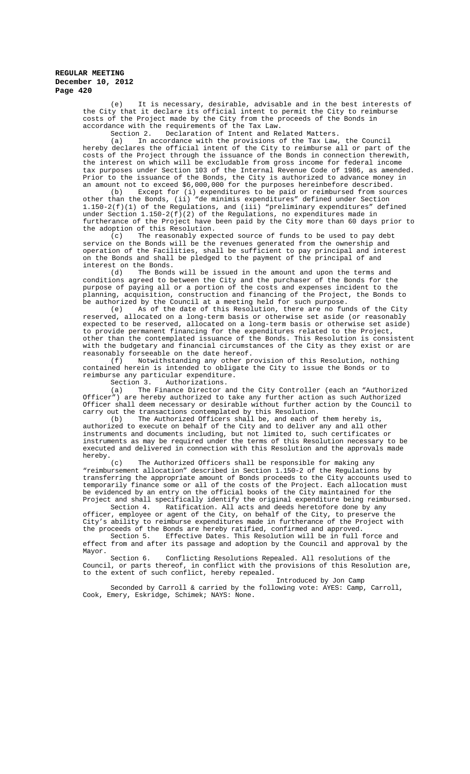(e) It is necessary, desirable, advisable and in the best interests of the City that it declare its official intent to permit the City to reimburse costs of the Project made by the City from the proceeds of the Bonds in accordance with the requirements of the Tax Law.<br>Section 2. Declaration of Intent and Re

Declaration of Intent and Related Matters.

(a) In accordance with the provisions of the Tax Law, the Council hereby declares the official intent of the City to reimburse all or part of the costs of the Project through the issuance of the Bonds in connection therewith, the interest on which will be excludable from gross income for federal income tax purposes under Section 103 of the Internal Revenue Code of 1986, as amended. Prior to the issuance of the Bonds, the City is authorized to advance money in an amount not to exceed \$6,000,000 for the purposes hereinbefore described.

(b) Except for (i) expenditures to be paid or reimbursed from sources other than the Bonds, (ii) "de minimis expenditures" defined under Section 1.150-2(f)(1) of the Regulations, and (iii) "preliminary expenditures" defined under Section  $1.150-2(f)(2)$  of the Regulations, no expenditures made in furtherance of the Project have been paid by the City more than 60 days prior to the adoption of this Resolution.<br>(c) The reasonably experience

The reasonably expected source of funds to be used to pay debt service on the Bonds will be the revenues generated from the ownership and operation of the Facilities, shall be sufficient to pay principal and interest on the Bonds and shall be pledged to the payment of the principal of and interest on the Bonds.<br>(d) The Bonds

The Bonds will be issued in the amount and upon the terms and conditions agreed to between the City and the purchaser of the Bonds for the purpose of paying all or a portion of the costs and expenses incident to the planning, acquisition, construction and financing of the Project, the Bonds to be authorized by the Council at a meeting held for such purpose.

(e) As of the date of this Resolution, there are no funds of the City reserved, allocated on a long-term basis or otherwise set aside (or reasonably expected to be reserved, allocated on a long-term basis or otherwise set aside) to provide permanent financing for the expenditures related to the Project, other than the contemplated issuance of the Bonds. This Resolution is consistent with the budgetary and financial circumstances of the City as they exist or are reasonably forseeable on the date hereof.

(f) Notwithstanding any other provision of this Resolution, nothing contained herein is intended to obligate the City to issue the Bonds or to reimburse any particular expenditure.<br>Section 3. Authorizations.

Authorizations.

(a) The Finance Director and the City Controller (each an "Authorized Officer") are hereby authorized to take any further action as such Authorized Officer shall deem necessary or desirable without further action by the Council to carry out the transactions contemplated by this Resolution.<br>(b) The Authorized Officers shall be, and each of

The Authorized Officers shall be, and each of them hereby is, authorized to execute on behalf of the City and to deliver any and all other instruments and documents including, but not limited to, such certificates or instruments as may be required under the terms of this Resolution necessary to be executed and delivered in connection with this Resolution and the approvals made hereby.<br> $(c)$ 

The Authorized Officers shall be responsible for making any "reimbursement allocation" described in Section 1.150-2 of the Regulations by transferring the appropriate amount of Bonds proceeds to the City accounts used to temporarily finance some or all of the costs of the Project. Each allocation must be evidenced by an entry on the official books of the City maintained for the Project and shall specifically identify the original expenditure being reimbursed.

Section 4. Ratification. All acts and deeds heretofore done by any officer, employee or agent of the City, on behalf of the City, to preserve the City's ability to reimburse expenditures made in furtherance of the Project with the proceeds of the Bonds are hereby ratified, confirmed and approved.

Section 5. Effective Dates. This Resolution will be in full force and effect from and after its passage and adoption by the Council and approval by the Mayor.

Section 6. Conflicting Resolutions Repealed. All resolutions of the Council, or parts thereof, in conflict with the provisions of this Resolution are, to the extent of such conflict, hereby repealed.

Introduced by Jon Camp Seconded by Carroll & carried by the following vote: AYES: Camp, Carroll, Cook, Emery, Eskridge, Schimek; NAYS: None.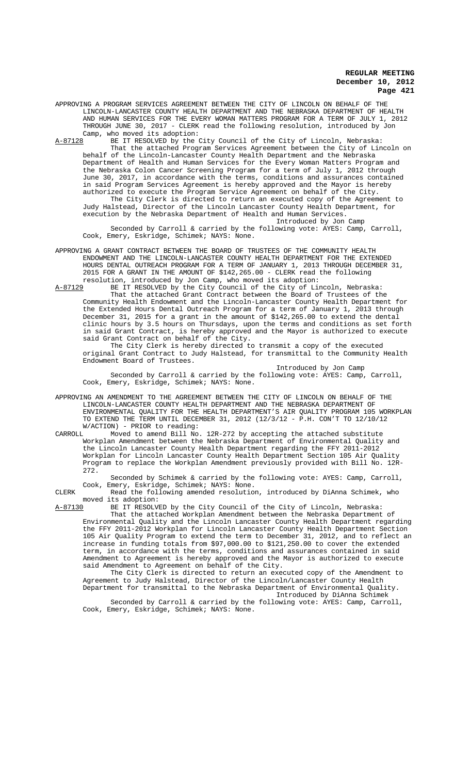APPROVING A PROGRAM SERVICES AGREEMENT BETWEEN THE CITY OF LINCOLN ON BEHALF OF THE LINCOLN-LANCASTER COUNTY HEALTH DEPARTMENT AND THE NEBRASKA DEPARTMENT OF HEALTH AND HUMAN SERVICES FOR THE EVERY WOMAN MATTERS PROGRAM FOR A TERM OF JULY 1, 2012 THROUGH JUNE 30, 2017 - CLERK read the following resolution, introduced by Jon Camp, who moved its adoption:<br>A-87128 BE IT RESOLVED by the

BE IT RESOLVED by the City Council of the City of Lincoln, Nebraska: That the attached Program Services Agreement between the City of Lincoln on behalf of the Lincoln-Lancaster County Health Department and the Nebraska Department of Health and Human Services for the Every Woman Matters Program and the Nebraska Colon Cancer Screening Program for a term of July 1, 2012 through June 30, 2017, in accordance with the terms, conditions and assurances contained in said Program Services Agreement is hereby approved and the Mayor is hereby authorized to execute the Program Service Agreement on behalf of the City. The City Clerk is directed to return an executed copy of the Agreement to

Judy Halstead, Director of the Lincoln Lancaster County Health Department, for execution by the Nebraska Department of Health and Human Services. Introduced by Jon Camp

Seconded by Carroll & carried by the following vote: AYES: Camp, Carroll, Cook, Emery, Eskridge, Schimek; NAYS: None.

APPROVING A GRANT CONTRACT BETWEEN THE BOARD OF TRUSTEES OF THE COMMUNITY HEALTH ENDOWMENT AND THE LINCOLN-LANCASTER COUNTY HEALTH DEPARTMENT FOR THE EXTENDED HOURS DENTAL OUTREACH PROGRAM FOR A TERM OF JANUARY 1, 2013 THROUGH DECEMBER 31, 2015 FOR A GRANT IN THE AMOUNT OF \$142,265.00 - CLERK read the following

resolution, introduced by Jon Camp, who moved its adoption:<br>A-87129 BE IT RESOLVED by the City Council of the City of Lin BE IT RESOLVED by the City Council of the City of Lincoln, Nebraska: That the attached Grant Contract between the Board of Trustees of the Community Health Endowment and the Lincoln-Lancaster County Health Department for the Extended Hours Dental Outreach Program for a term of January 1, 2013 through December 31, 2015 for a grant in the amount of \$142,265.00 to extend the dental clinic hours by 3.5 hours on Thursdays, upon the terms and conditions as set forth in said Grant Contract, is hereby approved and the Mayor is authorized to execute said Grant Contract on behalf of the City.

The City Clerk is hereby directed to transmit a copy of the executed original Grant Contract to Judy Halstead, for transmittal to the Community Health Endowment Board of Trustees.

Introduced by Jon Camp Seconded by Carroll & carried by the following vote: AYES: Camp, Carroll, Cook, Emery, Eskridge, Schimek; NAYS: None.

APPROVING AN AMENDMENT TO THE AGREEMENT BETWEEN THE CITY OF LINCOLN ON BEHALF OF THE LINCOLN-LANCASTER COUNTY HEALTH DEPARTMENT AND THE NEBRASKA DEPARTMENT OF ENVIRONMENTAL QUALITY FOR THE HEALTH DEPARTMENT'S AIR QUALITY PROGRAM 105 WORKPLAN TO EXTEND THE TERM UNTIL DECEMBER 31, 2012 (12/3/12 - P.H. CON'T TO 12/10/12 W/ACTION) - PRIOR to reading:<br>CARROLL Moved to amend Bill No

Moved to amend Bill No.  $12R-272$  by accepting the attached substitute Workplan Amendment between the Nebraska Department of Environmental Quality and the Lincoln Lancaster County Health Department regarding the FFY 2011-2012 Workplan for Lincoln Lancaster County Health Department Section 105 Air Quality Program to replace the Workplan Amendment previously provided with Bill No. 12R-272.

Seconded by Schimek & carried by the following vote: AYES: Camp, Carroll, Cook, Emery, Eskridge, Schimek; NAYS: None.

CLERK Read the following amended resolution, introduced by DiAnna Schimek, who moved its adoption:<br>A-87130 BE IT RESOLV.

A-87130 BE IT RESOLVED by the City Council of the City of Lincoln, Nebraska:

That the attached Workplan Amendment between the Nebraska Department of Environmental Quality and the Lincoln Lancaster County Health Department regarding the FFY 2011-2012 Workplan for Lincoln Lancaster County Health Department Section 105 Air Quality Program to extend the term to December 31, 2012, and to reflect an increase in funding totals from \$97,000.00 to \$121,250.00 to cover the extended term, in accordance with the terms, conditions and assurances contained in said Amendment to Agreement is hereby approved and the Mayor is authorized to execute said Amendment to Agreement on behalf of the City.

The City Clerk is directed to return an executed copy of the Amendment to Agreement to Judy Halstead, Director of the Lincoln/Lancaster County Health Department for transmittal to the Nebraska Department of Environmental Quality. Introduced by DiAnna Schimek

Seconded by Carroll & carried by the following vote: AYES: Camp, Carroll, Cook, Emery, Eskridge, Schimek; NAYS: None.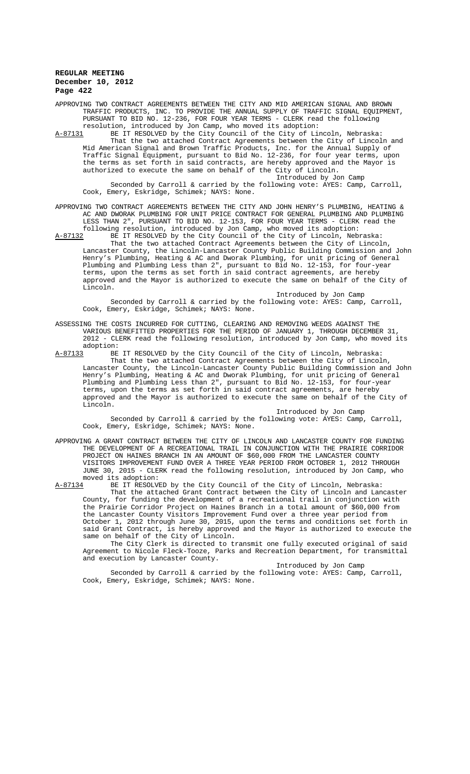APPROVING TWO CONTRACT AGREEMENTS BETWEEN THE CITY AND MID AMERICAN SIGNAL AND BROWN TRAFFIC PRODUCTS, INC. TO PROVIDE THE ANNUAL SUPPLY OF TRAFFIC SIGNAL EQUIPMENT, PURSUANT TO BID NO. 12-236, FOR FOUR YEAR TERMS - CLERK read the following resolution, introduced by Jon Camp, who moved its adoption:<br>A-87131 BE IT RESOLVED by the City Council of the City of Lin

BE IT RESOLVED by the City Council of the City of Lincoln, Nebraska: That the two attached Contract Agreements between the City of Lincoln and Mid American Signal and Brown Traffic Products, Inc. for the Annual Supply of Traffic Signal Equipment, pursuant to Bid No. 12-236, for four year terms, upon the terms as set forth in said contracts, are hereby approved and the Mayor is authorized to execute the same on behalf of the City of Lincoln.

Introduced by Jon Camp Seconded by Carroll & carried by the following vote: AYES: Camp, Carroll, Cook, Emery, Eskridge, Schimek; NAYS: None.

APPROVING TWO CONTRACT AGREEMENTS BETWEEN THE CITY AND JOHN HENRY'S PLUMBING, HEATING & AC AND DWORAK PLUMBING FOR UNIT PRICE CONTRACT FOR GENERAL PLUMBING AND PLUMBING LESS THAN 2", PURSUANT TO BID NO. 12-153, FOR FOUR YEAR TERMS - CLERK read the following resolution, introduced by Jon Camp, who moved its adoption:

A-87132 BE IT RESOLVED by the City Council of the City of Lincoln, Nebraska: That the two attached Contract Agreements between the City of Lincoln, Lancaster County, the Lincoln-Lancaster County Public Building Commission and John Henry's Plumbing, Heating & AC and Dworak Plumbing, for unit pricing of General Plumbing and Plumbing Less than 2", pursuant to Bid No. 12-153, for four-year terms, upon the terms as set forth in said contract agreements, are hereby approved and the Mayor is authorized to execute the same on behalf of the City of Lincoln.

Introduced by Jon Camp Seconded by Carroll & carried by the following vote: AYES: Camp, Carroll, Cook, Emery, Eskridge, Schimek; NAYS: None.

ASSESSING THE COSTS INCURRED FOR CUTTING, CLEARING AND REMOVING WEEDS AGAINST THE VARIOUS BENEFITTED PROPERTIES FOR THE PERIOD OF JANUARY 1, THROUGH DECEMBER 31, 2012 - CLERK read the following resolution, introduced by Jon Camp, who moved its adoption:<br>A-87133 BE

BE IT RESOLVED by the City Council of the City of Lincoln, Nebraska: That the two attached Contract Agreements between the City of Lincoln, Lancaster County, the Lincoln-Lancaster County Public Building Commission and John Henry's Plumbing, Heating & AC and Dworak Plumbing, for unit pricing of General Plumbing and Plumbing Less than 2", pursuant to Bid No. 12-153, for four-year terms, upon the terms as set forth in said contract agreements, are hereby approved and the Mayor is authorized to execute the same on behalf of the City of Lincoln.

Introduced by Jon Camp

Seconded by Carroll & carried by the following vote: AYES: Camp, Carroll, Cook, Emery, Eskridge, Schimek; NAYS: None.

APPROVING A GRANT CONTRACT BETWEEN THE CITY OF LINCOLN AND LANCASTER COUNTY FOR FUNDING THE DEVELOPMENT OF A RECREATIONAL TRAIL IN CONJUNCTION WITH THE PRAIRIE CORRIDOR PROJECT ON HAINES BRANCH IN AN AMOUNT OF \$60,000 FROM THE LANCASTER COUNTY VISITORS IMPROVEMENT FUND OVER A THREE YEAR PERIOD FROM OCTOBER 1, 2012 THROUGH JUNE 30, 2015 - CLERK read the following resolution, introduced by Jon Camp, who moved its adoption:<br>A-87134 BE IT RESOLV

BE IT RESOLVED by the City Council of the City of Lincoln, Nebraska: That the attached Grant Contract between the City of Lincoln and Lancaster County, for funding the development of a recreational trail in conjunction with the Prairie Corridor Project on Haines Branch in a total amount of \$60,000 from the Lancaster County Visitors Improvement Fund over a three year period from October 1, 2012 through June 30, 2015, upon the terms and conditions set forth in said Grant Contract, is hereby approved and the Mayor is authorized to execute the same on behalf of the City of Lincoln.

The City Clerk is directed to transmit one fully executed original of said Agreement to Nicole Fleck-Tooze, Parks and Recreation Department, for transmittal and execution by Lancaster County.

Introduced by Jon Camp

Seconded by Carroll & carried by the following vote: AYES: Camp, Carroll, Cook, Emery, Eskridge, Schimek; NAYS: None.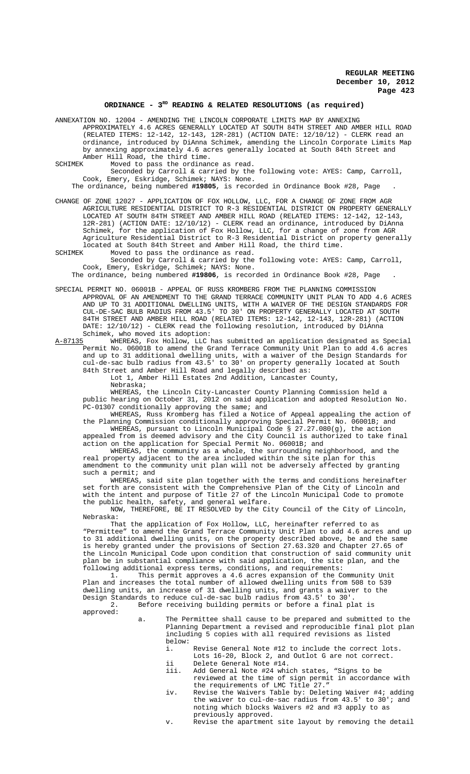#### **ORDINANCE - 3RD READING & RELATED RESOLUTIONS (as required)**

ANNEXATION NO. 12004 - AMENDING THE LINCOLN CORPORATE LIMITS MAP BY ANNEXING APPROXIMATELY 4.6 ACRES GENERALLY LOCATED AT SOUTH 84TH STREET AND AMBER HILL ROAD (RELATED ITEMS: 12-142, 12-143, 12R-281) (ACTION DATE: 12/10/12) - CLERK read an ordinance, introduced by DiAnna Schimek, amending the Lincoln Corporate Limits Map by annexing approximately 4.6 acres generally located at South 84th Street and Amber Hill Road, the third time.<br>SCHIMEK Moved to pass the ordinance

Moved to pass the ordinance as read.

Seconded by Carroll & carried by the following vote: AYES: Camp, Carroll, Cook, Emery, Eskridge, Schimek; NAYS: None.

The ordinance, being numbered **#19805**, is recorded in Ordinance Book #28, Page .

CHANGE OF ZONE 12027 - APPLICATION OF FOX HOLLOW, LLC, FOR A CHANGE OF ZONE FROM AGR AGRICULTURE RESIDENTIAL DISTRICT TO R-3 RESIDENTIAL DISTRICT ON PROPERTY GENERALLY LOCATED AT SOUTH 84TH STREET AND AMBER HILL ROAD (RELATED ITEMS: 12-142, 12-143, 12R-281) (ACTION DATE: 12/10/12) - CLERK read an ordinance, introduced by DiAnna Schimek, for the application of Fox Hollow, LLC, for a change of zone from AGR Agriculture Residential District to R-3 Residential District on property generally located at South 84th Street and Amber Hill Road, the third time.<br>SCHIMEK Moved to pass the ordinance as read.

Moved to pass the ordinance as read. Seconded by Carroll & carried by the following vote: AYES: Camp, Carroll,

Cook, Emery, Eskridge, Schimek; NAYS: None. The ordinance, being numbered **#19806**, is recorded in Ordinance Book #28, Page .

SPECIAL PERMIT NO. 06001B - APPEAL OF RUSS KROMBERG FROM THE PLANNING COMMISSION APPROVAL OF AN AMENDMENT TO THE GRAND TERRACE COMMUNITY UNIT PLAN TO ADD 4.6 ACRES AND UP TO 31 ADDITIONAL DWELLING UNITS, WITH A WAIVER OF THE DESIGN STANDARDS FOR CUL-DE-SAC BULB RADIUS FROM 43.5' TO 30' ON PROPERTY GENERALLY LOCATED AT SOUTH 84TH STREET AND AMBER HILL ROAD (RELATED ITEMS: 12-142, 12-143, 12R-281) (ACTION DATE: 12/10/12) - CLERK read the following resolution, introduced by DiAnna Schimek, who moved its adoption:<br>A-87135 WHEREAS, Fox Hollow, LLC

WHEREAS, Fox Hollow, LLC has submitted an application designated as Special Permit No. 06001B to amend the Grand Terrace Community Unit Plan to add 4.6 acres and up to 31 additional dwelling units, with a waiver of the Design Standards for cul-de-sac bulb radius from 43.5' to 30' on property generally located at South 84th Street and Amber Hill Road and legally described as:

Lot 1, Amber Hill Estates 2nd Addition, Lancaster County,

Nebraska;

WHEREAS, the Lincoln City-Lancaster County Planning Commission held a public hearing on October 31, 2012 on said application and adopted Resolution No. PC-01307 conditionally approving the same; and

WHEREAS, Russ Kromberg has filed a Notice of Appeal appealing the action of the Planning Commission conditionally approving Special Permit No. 06001B; and WHEREAS, pursuant to Lincoln Municipal Code § 27.27.080(g), the action

appealed from is deemed advisory and the City Council is authorized to take final action on the application for Special Permit No. 06001B; and

WHEREAS, the community as a whole, the surrounding neighborhood, and the real property adjacent to the area included within the site plan for this amendment to the community unit plan will not be adversely affected by granting such a permit; and

WHEREAS, said site plan together with the terms and conditions hereinafter set forth are consistent with the Comprehensive Plan of the City of Lincoln and with the intent and purpose of Title 27 of the Lincoln Municipal Code to promote the public health, safety, and general welfare.

NOW, THEREFORE, BE IT RESOLVED by the City Council of the City of Lincoln, Nebraska:

That the application of Fox Hollow, LLC, hereinafter referred to as "Permittee" to amend the Grand Terrace Community Unit Plan to add 4.6 acres and up to 31 additional dwelling units, on the property described above, be and the same is hereby granted under the provisions of Section 27.63.320 and Chapter 27.65 of the Lincoln Municipal Code upon condition that construction of said community unit plan be in substantial compliance with said application, the site plan, and the following additional express terms, conditions, and requirements:

This permit approves a 4.6 acres expansion of the Community Unit Plan and increases the total number of allowed dwelling units from 508 to 539 dwelling units, an increase of 31 dwelling units, and grants a waiver to the Design Standards to reduce cul-de-sac bulb radius from 43.5' to 30'.

2. Before receiving building permits or before a final plat is

approved:

- a. The Permittee shall cause to be prepared and submitted to the Planning Department a revised and reproducible final plot plan including 5 copies with all required revisions as listed below:
	- i. Revise General Note #12 to include the correct lots. Lots 16-20, Block 2, and Outlot G are not correct.
	- ii Delete General Note #14.
	- iii. Add General Note #24 which states, "Signs to be reviewed at the time of sign permit in accordance with the requirements of LMC Title 27."
	- iv. Revise the Waivers Table by: Deleting Waiver #4; adding the waiver to cul-de-sac radius from 43.5' to 30'; and noting which blocks Waivers #2 and #3 apply to as previously approved.
	- v. Revise the apartment site layout by removing the detail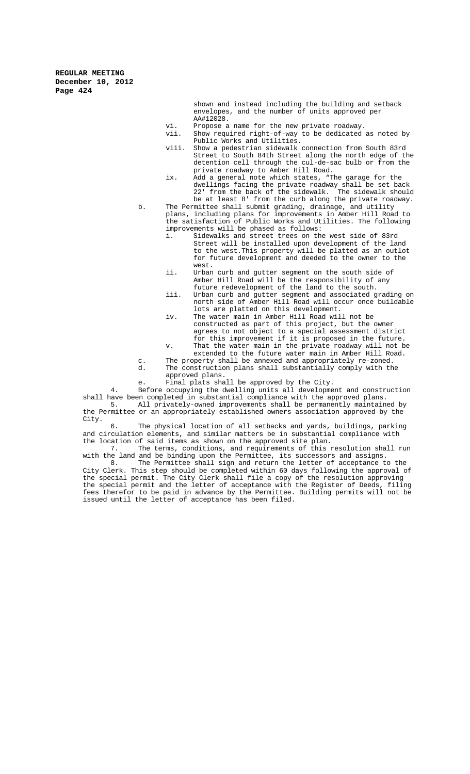> shown and instead including the building and setback envelopes, and the number of units approved per AA#12028.

- vi. Propose a name for the new private roadway.<br>vii. Show required right-of-way to be dedicated
- Show required right-of-way to be dedicated as noted by Public Works and Utilities.
- viii. Show a pedestrian sidewalk connection from South 83rd Street to South 84th Street along the north edge of the detention cell through the cul-de-sac bulb or from the private roadway to Amber Hill Road.
- ix. Add a general note which states, "The garage for the dwellings facing the private roadway shall be set back 22' from the back of the sidewalk. The sidewalk should be at least 8' from the curb along the private roadway.
- b. The Permittee shall submit grading, drainage, and utility plans, including plans for improvements in Amber Hill Road to the satisfaction of Public Works and Utilities. The following improvements will be phased as follows:<br>i. Sidewalks and street trees on the
	- Sidewalks and street trees on the west side of 83rd Street will be installed upon development of the land to the west.This property will be platted as an outlot for future development and deeded to the owner to the west.
	- ii. Urban curb and gutter segment on the south side of Amber Hill Road will be the responsibility of any future redevelopment of the land to the south.
	- iii. Urban curb and gutter segment and associated grading on north side of Amber Hill Road will occur once buildable lots are platted on this development.
	- iv. The water main in Amber Hill Road will not be constructed as part of this project, but the owner agrees to not object to a special assessment district for this improvement if it is proposed in the future.
	- v. That the water main in the private roadway will not be extended to the future water main in Amber Hill Road.
- c. The property shall be annexed and appropriately re-zoned.<br>d The construction plans shall substantially comply with the
- The construction plans shall substantially comply with the approved plans.
- e. Final plats shall be approved by the City.

4. Before occupying the dwelling units all development and construction shall have been completed in substantial compliance with the approved plans.<br>5. All privately-owned improvements shall be permanently maintain All privately-owned improvements shall be permanently maintained by the Permittee or an appropriately established owners association approved by the City.

6. The physical location of all setbacks and yards, buildings, parking and circulation elements, and similar matters be in substantial compliance with the location of said items as shown on the approved site plan.

The terms, conditions, and requirements of this resolution shall run with the land and be binding upon the Permittee, its successors and assigns.<br>8. The Permittee shall sign and return the letter of acceptance to

The Permittee shall sign and return the letter of acceptance to the City Clerk. This step should be completed within 60 days following the approval of the special permit. The City Clerk shall file a copy of the resolution approving the special permit and the letter of acceptance with the Register of Deeds, filing fees therefor to be paid in advance by the Permittee. Building permits will not be issued until the letter of acceptance has been filed.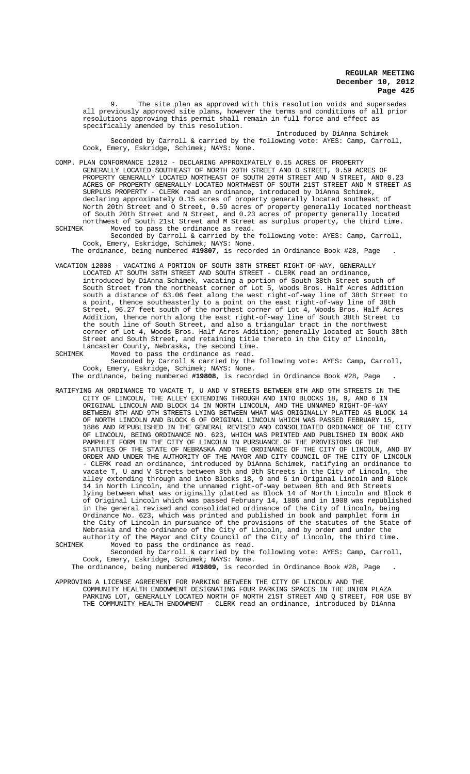9. The site plan as approved with this resolution voids and supersedes all previously approved site plans, however the terms and conditions of all prior resolutions approving this permit shall remain in full force and effect as specifically amended by this resolution.

Introduced by DiAnna Schimek Seconded by Carroll & carried by the following vote: AYES: Camp, Carroll, Cook, Emery, Eskridge, Schimek; NAYS: None.

COMP. PLAN CONFORMANCE 12012 - DECLARING APPROXIMATELY 0.15 ACRES OF PROPERTY GENERALLY LOCATED SOUTHEAST OF NORTH 20TH STREET AND O STREET, 0.59 ACRES OF PROPERTY GENERALLY LOCATED NORTHEAST OF SOUTH 20TH STREET AND N STREET, AND 0.23 ACRES OF PROPERTY GENERALLY LOCATED NORTHWEST OF SOUTH 21ST STREET AND M STREET AS SURPLUS PROPERTY - CLERK read an ordinance, introduced by DiAnna Schimek, declaring approximately 0.15 acres of property generally located southeast of North 20th Street and O Street, 0.59 acres of property generally located northeast of South 20th Street and N Street, and 0.23 acres of property generally located northwest of South 21st Street and M Street as surplus property, the third time.<br>SCHIMEK Moved to pass the ordinance as read. Moved to pass the ordinance as read.

Seconded by Carroll & carried by the following vote: AYES: Camp, Carroll, Cook, Emery, Eskridge, Schimek; NAYS: None.

The ordinance, being numbered **#19807**, is recorded in Ordinance Book #28, Page .

VACATION 12008 - VACATING A PORTION OF SOUTH 38TH STREET RIGHT-OF-WAY, GENERALLY LOCATED AT SOUTH 38TH STREET AND SOUTH STREET - CLERK read an ordinance, introduced by DiAnna Schimek, vacating a portion of South 38th Street south of South Street from the northeast corner of Lot 5, Woods Bros. Half Acres Addition south a distance of 63.06 feet along the west right-of-way line of 38th Street to a point, thence southeasterly to a point on the east right-of-way line of 38th Street, 96.27 feet south of the northest corner of Lot 4, Woods Bros. Half Acres Addition, thence north along the east right-of-way line of South 38th Street to the south line of South Street, and also a triangular tract in the northwest corner of Lot 4, Woods Bros. Half Acres Addition; generally located at South 38th Street and South Street, and retaining title thereto in the City of Lincoln, Lancaster County, Nebraska, the second time.

SCHIMEK Moved to pass the ordinance as read.

Seconded by Carroll & carried by the following vote: AYES: Camp, Carroll, Cook, Emery, Eskridge, Schimek; NAYS: None.

The ordinance, being numbered **#19808**, is recorded in Ordinance Book #28, Page .

RATIFYING AN ORDINANCE TO VACATE T, U AND V STREETS BETWEEN 8TH AND 9TH STREETS IN THE CITY OF LINCOLN, THE ALLEY EXTENDING THROUGH AND INTO BLOCKS 18, 9, AND 6 IN ORIGINAL LINCOLN AND BLOCK 14 IN NORTH LINCOLN, AND THE UNNAMED RIGHT-OF-WAY BETWEEN 8TH AND 9TH STREETS LYING BETWEEN WHAT WAS ORIGINALLY PLATTED AS BLOCK 14 OF NORTH LINCOLN AND BLOCK 6 OF ORIGINAL LINCOLN WHICH WAS PASSED FEBRUARY 15, 1886 AND REPUBLISHED IN THE GENERAL REVISED AND CONSOLIDATED ORDINANCE OF THE CITY OF LINCOLN, BEING ORDINANCE NO. 623, WHICH WAS PRINTED AND PUBLISHED IN BOOK AND PAMPHLET FORM IN THE CITY OF LINCOLN IN PURSUANCE OF THE PROVISIONS OF THE STATUTES OF THE STATE OF NEBRASKA AND THE ORDINANCE OF THE CITY OF LINCOLN, AND BY ORDER AND UNDER THE AUTHORITY OF THE MAYOR AND CITY COUNCIL OF THE CITY OF LINCOLN CLERK read an ordinance, introduced by DiAnna Schimek, ratifying an ordinance to<br>acate T. U amd V Streets between 8th and 9th Streets in the City of Lincoln, the vacate T, U amd V Streets between 8th and 9th Streets in the City of Lincoln, alley extending through and into Blocks 18, 9 and 6 in Original Lincoln and Block 14 in North Lincoln, and the unnamed right-of-way between 8th and 9th Streets lying between what was originally platted as Block 14 of North Lincoln and Block 6 of Original Lincoln which was passed February 14, 1886 and in 1908 was republished in the general revised and consolidated ordinance of the City of Lincoln, being Ordinance No. 623, which was printed and published in book and pamphlet form in the City of Lincoln in pursuance of the provisions of the statutes of the State of Nebraska and the ordinance of the City of Lincoln, and by order and under the authority of the Mayor and City Council of the City of Lincoln, the third time.<br>SCHIMEK Moved to pass the ordinance as read.

Noved to pass the ordinance as read. Seconded by Carroll & carried by the following vote: AYES: Camp, Carroll, Cook, Emery, Eskridge, Schimek; NAYS: None.

The ordinance, being numbered **#19809**, is recorded in Ordinance Book #28, Page .

APPROVING A LICENSE AGREEMENT FOR PARKING BETWEEN THE CITY OF LINCOLN AND THE COMMUNITY HEALTH ENDOWMENT DESIGNATING FOUR PARKING SPACES IN THE UNION PLAZA PARKING LOT, GENERALLY LOCATED NORTH OF NORTH 21ST STREET AND Q STREET, FOR USE BY THE COMMUNITY HEALTH ENDOWMENT - CLERK read an ordinance, introduced by DiAnna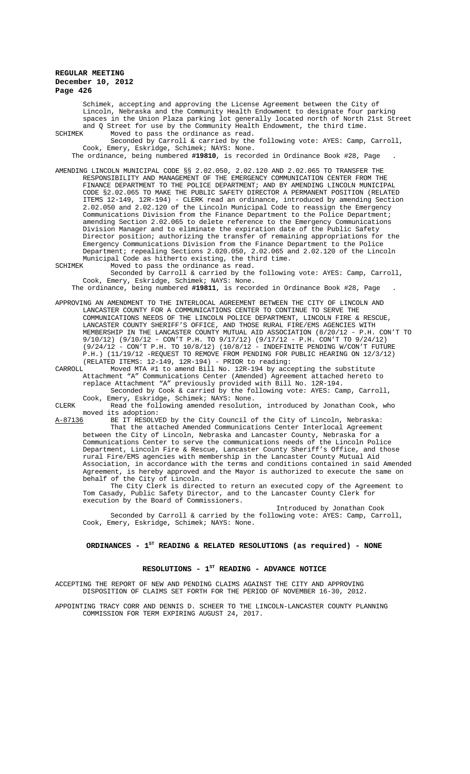Schimek, accepting and approving the License Agreement between the City of Lincoln, Nebraska and the Community Health Endowment to designate four parking spaces in the Union Plaza parking lot generally located north of North 21st Street and Q Street for use by the Community Health Endowment, the third time.<br>SCHIMEK Moved to pass the ordinance as read. Moved to pass the ordinance as read.

Seconded by Carroll & carried by the following vote: AYES: Camp, Carroll, Cook, Emery, Eskridge, Schimek; NAYS: None.

The ordinance, being numbered **#19810**, is recorded in Ordinance Book #28, Page .

AMENDING LINCOLN MUNICIPAL CODE §§ 2.02.050, 2.02.120 AND 2.02.065 TO TRANSFER THE RESPONSIBILITY AND MANAGEMENT OF THE EMERGENCY COMMUNICATION CENTER FROM THE FINANCE DEPARTMENT TO THE POLICE DEPARTMENT; AND BY AMENDING LINCOLN MUNICIPAL CODE §2.02.065 TO MAKE THE PUBLIC SAFETY DIRECTOR A PERMANENT POSITION (RELATED ITEMS 12-149, 12R-194) - CLERK read an ordinance, introduced by amending Section 2.02.050 and 2.02.120 of the Lincoln Municipal Code to reassign the Emergency Communications Division from the Finance Department to the Police Department; amending Section 2.02.065 to delete reference to the Emergency Communications Division Manager and to eliminate the expiration date of the Public Safety Director position; authorizing the transfer of remaining appropriations for the Emergency Communications Division from the Finance Department to the Police Department; repealing Sections 2.020.050, 2.02.065 and 2.02.120 of the Lincoln Municipal Code as hitherto existing, the third time.

SCHIMEK Moved to pass the ordinance as read. Seconded by Carroll & carried by the following vote: AYES: Camp, Carroll, Cook, Emery, Eskridge, Schimek; NAYS: None.

The ordinance, being numbered **#19811**, is recorded in Ordinance Book #28, Page .

APPROVING AN AMENDMENT TO THE INTERLOCAL AGREEMENT BETWEEN THE CITY OF LINCOLN AND LANCASTER COUNTY FOR A COMMUNICATIONS CENTER TO CONTINUE TO SERVE THE COMMUNICATIONS NEEDS OF THE LINCOLN POLICE DEPARTMENT, LINCOLN FIRE & RESCUE, LANCASTER COUNTY SHERIFF'S OFFICE, AND THOSE RURAL FIRE/EMS AGENCIES WITH MEMBERSHIP IN THE LANCASTER COUNTY MUTUAL AID ASSOCIATION (8/20/12 - P.H. CON'T TO 9/10/12) (9/10/12 - CON'T P.H. TO 9/17/12) (9/17/12 - P.H. CON'T TO 9/24/12) (9/24/12 - CON'T P.H. TO 10/8/12) (10/8/12 - INDEFINITE PENDING W/CON'T FUTURE P.H.) (11/19/12 -REQUEST TO REMOVE FROM PENDING FOR PUBLIC HEARING ON 12/3/12) (RELATED ITEMS: 12-149, 12R-194) - PRIOR to reading:

CARROLL Moved MTA #1 to amend Bill No. 12R-194 by accepting the substitute Attachment "A" Communications Center (Amended) Agreement attached hereto to replace Attachment "A" previously provided with Bill No. 12R-194. Seconded by Cook & carried by the following vote: AYES: Camp, Carroll,

Cook, Emery, Eskridge, Schimek; NAYS: None. CLERK Read the following amended resolution, introduced by Jonathan Cook, who moved its adoption:<br>A-87136 BE IT RESOLV.

A-87136 BE IT RESOLVED by the City Council of the City of Lincoln, Nebraska: That the attached Amended Communications Center Interlocal Agreement between the City of Lincoln, Nebraska and Lancaster County, Nebraska for a Communications Center to serve the communications needs of the Lincoln Police Department, Lincoln Fire & Rescue, Lancaster County Sheriff's Office, and those rural Fire/EMS agencies with membership in the Lancaster County Mutual Aid Association, in accordance with the terms and conditions contained in said Amended Agreement, is hereby approved and the Mayor is authorized to execute the same on behalf of the City of Lincoln.

The City Clerk is directed to return an executed copy of the Agreement to Tom Casady, Public Safety Director, and to the Lancaster County Clerk for execution by the Board of Commissioners.

Introduced by Jonathan Cook Seconded by Carroll & carried by the following vote: AYES: Camp, Carroll, Cook, Emery, Eskridge, Schimek; NAYS: None.

# ORDINANCES - 1<sup>st</sup> READING & RELATED RESOLUTIONS (as required) - NONE

## RESOLUTIONS - 1<sup>st</sup> READING - ADVANCE NOTICE

ACCEPTING THE REPORT OF NEW AND PENDING CLAIMS AGAINST THE CITY AND APPROVING DISPOSITION OF CLAIMS SET FORTH FOR THE PERIOD OF NOVEMBER 16-30, 2012.

APPOINTING TRACY CORR AND DENNIS D. SCHEER TO THE LINCOLN-LANCASTER COUNTY PLANNING COMMISSION FOR TERM EXPIRING AUGUST 24, 2017.